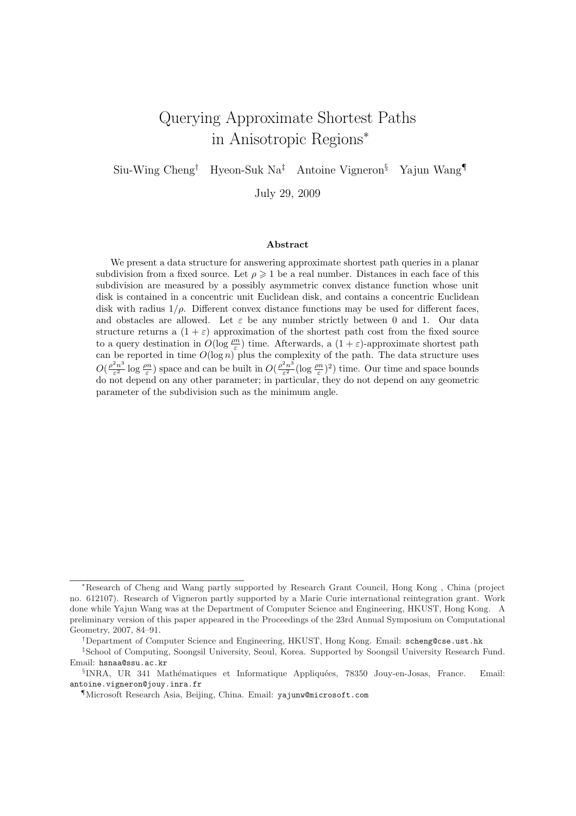# Querying Approximate Shortest Paths in Anisotropic Regions<sup>∗</sup>

Siu-Wing Cheng† Hyeon-Suk Na‡ Antoine Vigneron§ Yajun Wang¶

July 29, 2009

#### Abstract

We present a data structure for answering approximate shortest path queries in a planar subdivision from a fixed source. Let  $\rho \geq 1$  be a real number. Distances in each face of this subdivision are measured by a possibly asymmetric convex distance function whose unit disk is contained in a concentric unit Euclidean disk, and contains a concentric Euclidean disk with radius  $1/\rho$ . Different convex distance functions may be used for different faces, and obstacles are allowed. Let  $\varepsilon$  be any number strictly between 0 and 1. Our data structure returns a  $(1 + \varepsilon)$  approximation of the shortest path cost from the fixed source to a query destination in  $O(\log \frac{\rho n}{\varepsilon})$  time. Afterwards, a  $(1+\varepsilon)$ -approximate shortest path can be reported in time  $O(\log n)$  plus the complexity of the path. The data structure uses  $O(\frac{\rho^2 n^3}{c^2})$  $\frac{e^{2}n^{3}}{\varepsilon^{2}}\log\frac{\rho n}{\varepsilon}$ ) space and can be built in  $O(\frac{\rho^{2}n^{3}}{\varepsilon^{2}})$  $\frac{2n^3}{\varepsilon^2}(\log \frac{\rho n}{\varepsilon})^2)$  time. Our time and space bounds do not depend on any other parameter; in particular, they do not depend on any geometric parameter of the subdivision such as the minimum angle.

<sup>∗</sup>Research of Cheng and Wang partly supported by Research Grant Council, Hong Kong , China (project no. 612107). Research of Vigneron partly supported by a Marie Curie international reintegration grant. Work done while Yajun Wang was at the Department of Computer Science and Engineering, HKUST, Hong Kong. A preliminary version of this paper appeared in the Proceedings of the 23rd Annual Symposium on Computational Geometry, 2007, 84–91.

<sup>†</sup>Department of Computer Science and Engineering, HKUST, Hong Kong. Email: scheng@cse.ust.hk

<sup>‡</sup>School of Computing, Soongsil University, Seoul, Korea. Supported by Soongsil University Research Fund. Email: hsnaa@ssu.ac.kr

<sup>&</sup>lt;sup>§</sup>INRA, UR 341 Mathématiques et Informatique Appliquées, 78350 Jouy-en-Josas, France. Email: antoine.vigneron@jouy.inra.fr

<sup>¶</sup>Microsoft Research Asia, Beijing, China. Email: yajunw@microsoft.com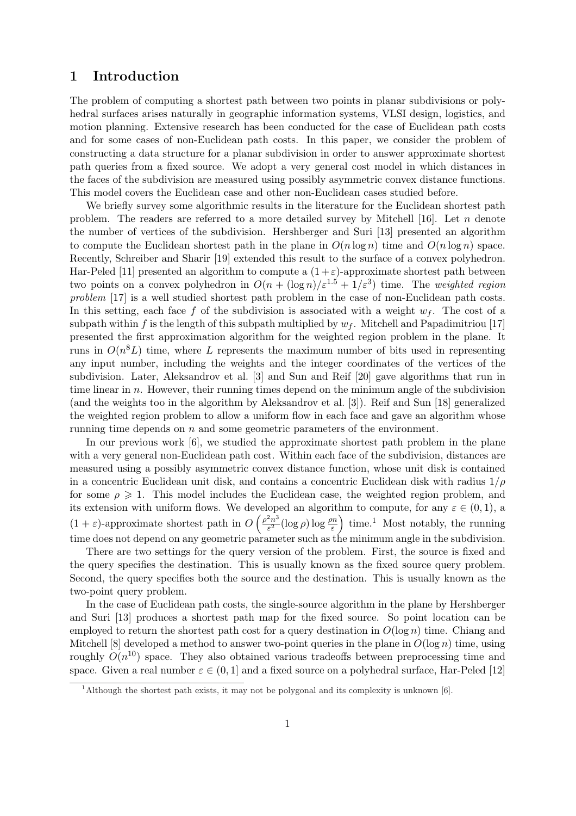### 1 Introduction

The problem of computing a shortest path between two points in planar subdivisions or polyhedral surfaces arises naturally in geographic information systems, VLSI design, logistics, and motion planning. Extensive research has been conducted for the case of Euclidean path costs and for some cases of non-Euclidean path costs. In this paper, we consider the problem of constructing a data structure for a planar subdivision in order to answer approximate shortest path queries from a fixed source. We adopt a very general cost model in which distances in the faces of the subdivision are measured using possibly asymmetric convex distance functions. This model covers the Euclidean case and other non-Euclidean cases studied before.

We briefly survey some algorithmic results in the literature for the Euclidean shortest path problem. The readers are referred to a more detailed survey by Mitchell [16]. Let n denote the number of vertices of the subdivision. Hershberger and Suri [13] presented an algorithm to compute the Euclidean shortest path in the plane in  $O(n \log n)$  time and  $O(n \log n)$  space. Recently, Schreiber and Sharir [19] extended this result to the surface of a convex polyhedron. Har-Peled [11] presented an algorithm to compute a  $(1+\varepsilon)$ -approximate shortest path between two points on a convex polyhedron in  $O(n + (\log n)/\varepsilon^{1.5} + 1/\varepsilon^3)$  time. The weighted region problem [17] is a well studied shortest path problem in the case of non-Euclidean path costs. In this setting, each face f of the subdivision is associated with a weight  $w_f$ . The cost of a subpath within f is the length of this subpath multiplied by  $w_f$ . Mitchell and Papadimitriou [17] presented the first approximation algorithm for the weighted region problem in the plane. It runs in  $O(n^{8}L)$  time, where L represents the maximum number of bits used in representing any input number, including the weights and the integer coordinates of the vertices of the subdivision. Later, Aleksandrov et al. [3] and Sun and Reif [20] gave algorithms that run in time linear in  $n$ . However, their running times depend on the minimum angle of the subdivision (and the weights too in the algorithm by Aleksandrov et al. [3]). Reif and Sun [18] generalized the weighted region problem to allow a uniform flow in each face and gave an algorithm whose running time depends on  $n$  and some geometric parameters of the environment.

In our previous work [6], we studied the approximate shortest path problem in the plane with a very general non-Euclidean path cost. Within each face of the subdivision, distances are measured using a possibly asymmetric convex distance function, whose unit disk is contained in a concentric Euclidean unit disk, and contains a concentric Euclidean disk with radius  $1/\rho$ for some  $\rho \geq 1$ . This model includes the Euclidean case, the weighted region problem, and its extension with uniform flows. We developed an algorithm to compute, for any  $\varepsilon \in (0,1)$ , a  $(1 + \varepsilon)$ -approximate shortest path in O velop $\int \rho^2 n^3$  $\frac{e^{2}n^{3}}{\varepsilon^{2}}(\log\rho)\log\frac{\rho n}{\varepsilon}$ n:<br>` time.<sup>1</sup> Most notably, the running time does not depend on any geometric parameter such as the minimum angle in the subdivision.

There are two settings for the query version of the problem. First, the source is fixed and the query specifies the destination. This is usually known as the fixed source query problem. Second, the query specifies both the source and the destination. This is usually known as the two-point query problem.

In the case of Euclidean path costs, the single-source algorithm in the plane by Hershberger and Suri [13] produces a shortest path map for the fixed source. So point location can be employed to return the shortest path cost for a query destination in  $O(\log n)$  time. Chiang and Mitchell [8] developed a method to answer two-point queries in the plane in  $O(\log n)$  time, using roughly  $O(n^{10})$  space. They also obtained various tradeoffs between preprocessing time and space. Given a real number  $\varepsilon \in (0, 1]$  and a fixed source on a polyhedral surface, Har-Peled [12]

<sup>&</sup>lt;sup>1</sup>Although the shortest path exists, it may not be polygonal and its complexity is unknown [6].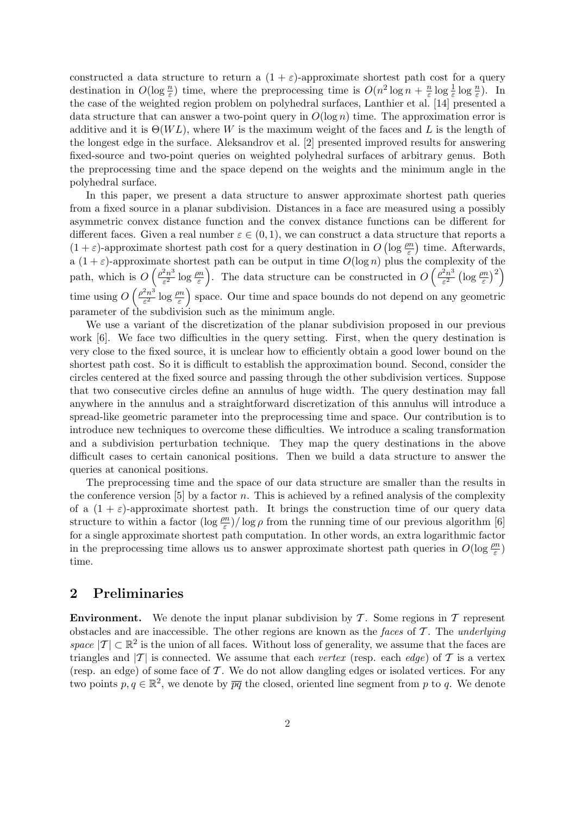constructed a data structure to return a  $(1 + \varepsilon)$ -approximate shortest path cost for a query destination in  $O(\log \frac{n}{\varepsilon})$  time, where the preprocessing time is  $O(n^2 \log n + \frac{n}{\varepsilon})$  $\frac{n}{\varepsilon} \log \frac{1}{\varepsilon} \log \frac{n}{\varepsilon}$ ). In the case of the weighted region problem on polyhedral surfaces, Lanthier et al. [14] presented a data structure that can answer a two-point query in  $O(\log n)$  time. The approximation error is additive and it is  $\Theta(W_L)$ , where W is the maximum weight of the faces and L is the length of the longest edge in the surface. Aleksandrov et al. [2] presented improved results for answering fixed-source and two-point queries on weighted polyhedral surfaces of arbitrary genus. Both the preprocessing time and the space depend on the weights and the minimum angle in the polyhedral surface.

In this paper, we present a data structure to answer approximate shortest path queries from a fixed source in a planar subdivision. Distances in a face are measured using a possibly asymmetric convex distance function and the convex distance functions can be different for different faces. Given a real number  $\varepsilon \in (0,1)$ , we can construct a data structure that reports a  $(1+\varepsilon)$ -approximate shortest path cost for a query destination in  $O\left(\log \frac{\rho n}{\varepsilon}\right)$  time. Afterwards, a  $(1+\varepsilon)$ -approximate shortest path can be output in time  $O(\log n)$  plus the complexity of the path, which is  $O\left(\frac{\rho^2 n^3}{c^2}\right)$  $\frac{2n^3}{\varepsilon^2} \log \frac{\rho n}{\varepsilon}$ . The data structure can be constructed in  $O\left(\frac{\rho^2 n^3}{\varepsilon^2}\right)$ ε 2  $\frac{\log \frac{\rho n}{\varepsilon}}{2}$  $\frac{6}{2}$ time using  $O\left(\frac{\rho^2 n^3}{c^2}\right)$  $\epsilon^2$   $\epsilon^3$  $\frac{2n^3}{\varepsilon^2} \log \frac{\rho n}{\varepsilon}$  space. Our time and space bounds do not depend on any geometric parameter of the subdivision such as the minimum angle.

We use a variant of the discretization of the planar subdivision proposed in our previous work [6]. We face two difficulties in the query setting. First, when the query destination is very close to the fixed source, it is unclear how to efficiently obtain a good lower bound on the shortest path cost. So it is difficult to establish the approximation bound. Second, consider the circles centered at the fixed source and passing through the other subdivision vertices. Suppose that two consecutive circles define an annulus of huge width. The query destination may fall anywhere in the annulus and a straightforward discretization of this annulus will introduce a spread-like geometric parameter into the preprocessing time and space. Our contribution is to introduce new techniques to overcome these difficulties. We introduce a scaling transformation and a subdivision perturbation technique. They map the query destinations in the above difficult cases to certain canonical positions. Then we build a data structure to answer the queries at canonical positions.

The preprocessing time and the space of our data structure are smaller than the results in the conference version [5] by a factor n. This is achieved by a refined analysis of the complexity of a  $(1 + \varepsilon)$ -approximate shortest path. It brings the construction time of our query data structure to within a factor  $(\log \frac{\rho n}{\varepsilon})/\log \rho$  from the running time of our previous algorithm [6] for a single approximate shortest path computation. In other words, an extra logarithmic factor in the preprocessing time allows us to answer approximate shortest path queries in  $O(\log \frac{\rho n}{\varepsilon})$ time.

# 2 Preliminaries

**Environment.** We denote the input planar subdivision by  $\mathcal{T}$ . Some regions in  $\mathcal{T}$  represent obstacles and are inaccessible. The other regions are known as the faces of  $\mathcal T$ . The underlying space  $|\mathcal{T}| \subset \mathbb{R}^2$  is the union of all faces. Without loss of generality, we assume that the faces are triangles and  $|T|$  is connected. We assume that each vertex (resp. each edge) of T is a vertex (resp. an edge) of some face of  $\mathcal T$ . We do not allow dangling edges or isolated vertices. For any two points  $p, q \in \mathbb{R}^2$ , we denote by  $\overline{pq}$  the closed, oriented line segment from p to q. We denote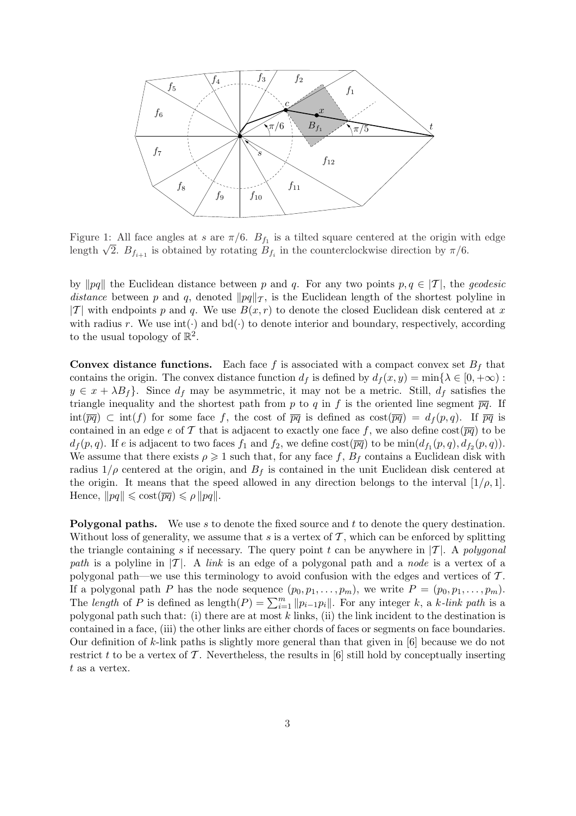

Figure 1: All face angles at s are  $\pi/6$ .  $B_{f_1}$  is a tilted square centered at the origin with edge Figure 1: All face angles at s are  $\pi/6$ .  $B_{f_1}$  is a tilted square centered at the origin will length  $\sqrt{2}$ .  $B_{f_{i+1}}$  is obtained by rotating  $B_{f_i}$  in the counterclockwise direction by  $\pi/6$ .

by  $\|pq\|$  the Euclidean distance between p and q. For any two points  $p, q \in |T|$ , the geodesic distance between p and q, denoted  $\|pq\|_{\mathcal{T}}$ , is the Euclidean length of the shortest polyline in |T| with endpoints p and q. We use  $B(x, r)$  to denote the closed Euclidean disk centered at x with radius r. We use  $\text{int}(\cdot)$  and  $\text{bd}(\cdot)$  to denote interior and boundary, respectively, according to the usual topology of  $\mathbb{R}^2$ .

**Convex distance functions.** Each face f is associated with a compact convex set  $B_f$  that contains the origin. The convex distance function  $d_f$  is defined by  $d_f(x, y) = \min\{\lambda \in [0, +\infty) :$  $y \in x + \lambda B_f$ . Since  $d_f$  may be asymmetric, it may not be a metric. Still,  $d_f$  satisfies the triangle inequality and the shortest path from p to q in f is the oriented line segment  $\overline{pq}$ . If  $\text{int}(\overline{pq}) \subset \text{int}(f)$  for some face f, the cost of  $\overline{pq}$  is defined as  $\text{cost}(\overline{pq}) = d_f(p,q)$ . If  $\overline{pq}$  is contained in an edge e of T that is adjacent to exactly one face f, we also define  $\cos(\overline{pq})$  to be  $d_f(p,q)$ . If e is adjacent to two faces  $f_1$  and  $f_2$ , we define  $\cos(\overline{pq})$  to be  $\min(d_{f_1}(p,q), d_{f_2}(p,q))$ . We assume that there exists  $\rho \geq 1$  such that, for any face f,  $B_f$  contains a Euclidean disk with radius  $1/\rho$  centered at the origin, and  $B_f$  is contained in the unit Euclidean disk centered at the origin. It means that the speed allowed in any direction belongs to the interval  $[1/\rho, 1]$ . Hence,  $\|pq\| \leqslant \mathrm{cost}(\overline{pq}) \leqslant \rho \|pq\|.$ 

Polygonal paths. We use s to denote the fixed source and t to denote the query destination. Without loss of generality, we assume that s is a vertex of  $\mathcal T$ , which can be enforced by splitting the triangle containing s if necessary. The query point t can be anywhere in  $|T|$ . A polygonal path is a polyline in  $|T|$ . A link is an edge of a polygonal path and a node is a vertex of a polygonal path—we use this terminology to avoid confusion with the edges and vertices of  $\mathcal{T}$ . If a polygonal path P has the node sequence  $(p_0, p_1, \ldots, p_m)$ , we write  $P = (p_0, p_1, \ldots, p_m)$ .<br>The length of P is defined as length $(P) = \sum_{i=1}^m ||p_{i-1}p_i||$ . For any integer k, a k-link path is a polygonal path such that: (i) there are at most  $k$  links, (ii) the link incident to the destination is contained in a face, (iii) the other links are either chords of faces or segments on face boundaries. Our definition of k-link paths is slightly more general than that given in [6] because we do not restrict t to be a vertex of  $\mathcal T$ . Nevertheless, the results in [6] still hold by conceptually inserting  $t$  as a vertex.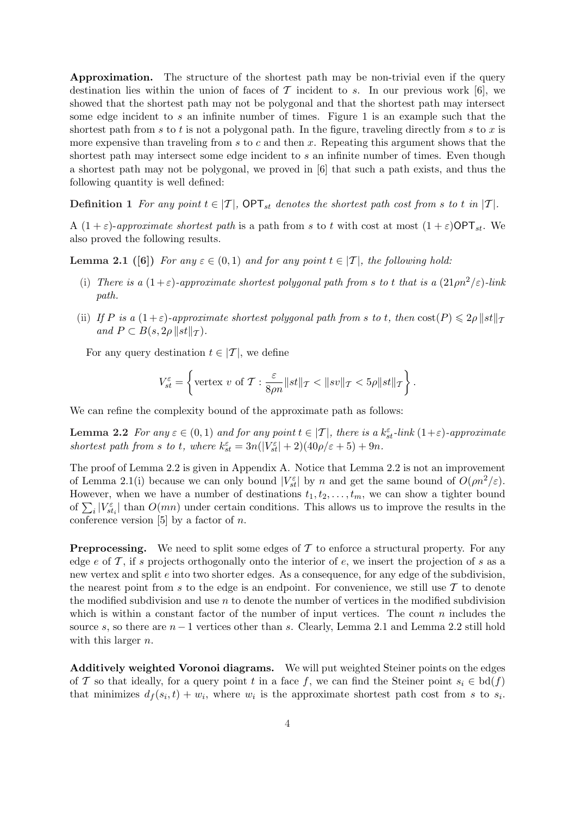Approximation. The structure of the shortest path may be non-trivial even if the query destination lies within the union of faces of  $\mathcal T$  incident to s. In our previous work [6], we showed that the shortest path may not be polygonal and that the shortest path may intersect some edge incident to s an infinite number of times. Figure 1 is an example such that the shortest path from s to t is not a polygonal path. In the figure, traveling directly from s to x is more expensive than traveling from  $s$  to  $c$  and then  $x$ . Repeating this argument shows that the shortest path may intersect some edge incident to s an infinite number of times. Even though a shortest path may not be polygonal, we proved in [6] that such a path exists, and thus the following quantity is well defined:

**Definition 1** For any point  $t \in [T]$ ,  $\text{OPT}_{st}$  denotes the shortest path cost from s to t in  $|T|$ .

A  $(1+\varepsilon)$ -approximate shortest path is a path from s to t with cost at most  $(1+\varepsilon)$ OPT<sub>st</sub>. We also proved the following results.

**Lemma 2.1** ([6]) For any  $\varepsilon \in (0,1)$  and for any point  $t \in [T]$ , the following hold:

- (i) There is a  $(1+\varepsilon)$ -approximate shortest polygonal path from s to t that is a  $(21 \rho n^2/\varepsilon)$ -link path.
- (ii) If P is a  $(1+\varepsilon)$ -approximate shortest polygonal path from s to t, then  $\cosh(P) \leq 2\rho \|st\|_{\mathcal{T}}$ and  $P \subset B(s, 2\rho || st ||_{\mathcal{T}})$ .

For any query destination  $t \in |\mathcal{T}|$ , we define

$$
V_{st}^{\varepsilon} = \left\{ \text{vertex } v \text{ of } \mathcal{T} : \frac{\varepsilon}{8\rho n} \| st \|_{\mathcal{T}} < \| sv \|_{\mathcal{T}} < 5\rho \| st \|_{\mathcal{T}} \right\}.
$$

We can refine the complexity bound of the approximate path as follows:

**Lemma 2.2** For any  $\varepsilon \in (0,1)$  and for any point  $t \in [T]$ , there is a  $k_{st}^{\varepsilon}$ -link  $(1+\varepsilon)$ -approximate shortest path from s to t, where  $k_{st}^{\varepsilon} = 3n(|V_{st}^{\varepsilon}| + 2)(40\rho/\varepsilon + 5) + 9n$ .

The proof of Lemma 2.2 is given in Appendix A. Notice that Lemma 2.2 is not an improvement of Lemma 2.1(i) because we can only bound  $|V_{st}^{\varepsilon}|$  by n and get the same bound of  $O(\rho n^2/\varepsilon)$ . However, when we have a number of destinations  $t_1, t_2, \ldots, t_m$ , we can show a tighter bound However, when we have a number of destinations  $i_1, i_2, \ldots, i_m$ , we can show a tighter bound<br>of  $\sum_i |V_{st_i}^{\varepsilon}|$  than  $O(mn)$  under certain conditions. This allows us to improve the results in the conference version [5] by a factor of  $n$ .

**Preprocessing.** We need to split some edges of  $\mathcal T$  to enforce a structural property. For any edge e of  $\mathcal T$ , if s projects orthogonally onto the interior of e, we insert the projection of s as a new vertex and split e into two shorter edges. As a consequence, for any edge of the subdivision, the nearest point from s to the edge is an endpoint. For convenience, we still use  $\mathcal T$  to denote the modified subdivision and use  $n$  to denote the number of vertices in the modified subdivision which is within a constant factor of the number of input vertices. The count  $n$  includes the source s, so there are  $n-1$  vertices other than s. Clearly, Lemma 2.1 and Lemma 2.2 still hold with this larger  $n$ .

Additively weighted Voronoi diagrams. We will put weighted Steiner points on the edges of T so that ideally, for a query point t in a face f, we can find the Steiner point  $s_i \in \text{bd}(f)$ that minimizes  $d_f(s_i, t) + w_i$ , where  $w_i$  is the approximate shortest path cost from s to  $s_i$ .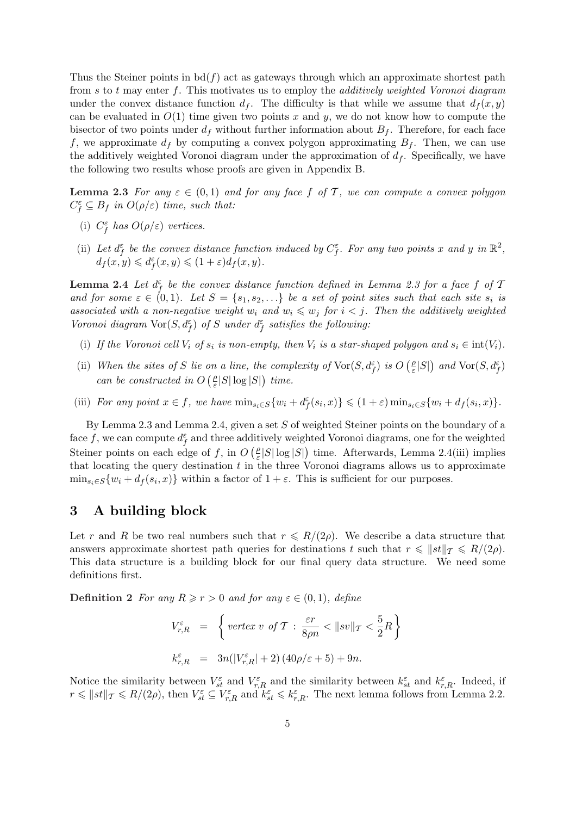Thus the Steiner points in  $\text{bd}(f)$  act as gateways through which an approximate shortest path from  $s$  to  $t$  may enter  $f$ . This motivates us to employ the *additively weighted Voronoi diagram* under the convex distance function  $d_f$ . The difficulty is that while we assume that  $d_f(x, y)$ can be evaluated in  $O(1)$  time given two points x and y, we do not know how to compute the bisector of two points under  $d_f$  without further information about  $B_f$ . Therefore, for each face f, we approximate  $d_f$  by computing a convex polygon approximating  $B_f$ . Then, we can use the additively weighted Voronoi diagram under the approximation of  $d_f$ . Specifically, we have the following two results whose proofs are given in Appendix B.

**Lemma 2.3** For any  $\varepsilon \in (0,1)$  and for any face f of T, we can compute a convex polygon  $C_f^{\varepsilon} \subseteq B_f$  in  $O(\rho/\varepsilon)$  time, such that:

- (i)  $C_f^{\varepsilon}$  has  $O(\rho/\varepsilon)$  vertices.
- (ii) Let  $d_f^{\varepsilon}$  be the convex distance function induced by  $C_f^{\varepsilon}$ . For any two points x and y in  $\mathbb{R}^2$ ,  $d_f(x,y) \leqslant d_f^{\varepsilon}(x,y) \leqslant (1+\varepsilon)d_f(x,y).$

**Lemma 2.4** Let  $d_f^{\varepsilon}$  be the convex distance function defined in Lemma 2.3 for a face f of T and for some  $\varepsilon \in (0,1)$ . Let  $S = \{s_1, s_2, \ldots\}$  be a set of point sites such that each site  $s_i$  is associated with a non-negative weight  $w_i$  and  $w_i \leqslant w_j$  for  $i < j$ . Then the additively weighted Voronoi diagram  $\text{Vor}(S, d_f^{\varepsilon})$  of S under  $d_f^{\varepsilon}$  satisfies the following:

- (i) If the Voronoi cell  $V_i$  of  $s_i$  is non-empty, then  $V_i$  is a star-shaped polygon and  $s_i \in \text{int}(V_i)$ .
- (ii) When the sites of S lie on a line, the complexity of  $\text{Vor}(S, d_f^{\varepsilon})$  is O  $\rho$  $\frac{\rho}{\varepsilon}|S|$ on a line, the complexity of  $\text{Vor}(S, d_f^{\varepsilon})$  is  $O\left(\frac{\rho}{\varepsilon}|S|\right)$  and  $\text{Vor}(S, d_f^{\varepsilon})$ can be constructed in  $O\left(\frac{\rho}{\varepsilon}\right)$  $\frac{\rho}{\varepsilon}|S|\log|S|\big)$  time.
- (iii) For any point  $x \in f$ , we have  $\min_{s_i \in S} \{w_i + d_f^{\varepsilon}(s_i, x)\} \leq (1+\varepsilon) \min_{s_i \in S} \{w_i + d_f(s_i, x)\}.$

By Lemma 2.3 and Lemma 2.4, given a set  $S$  of weighted Steiner points on the boundary of a face f, we can compute  $d_f^{\varepsilon}$  and three additively weighted Voronoi diagrams, one for the weighted Steiner points on each edge of f, in  $O(g)$  $\frac{\rho}{\varepsilon}|S|\log|S|$ ) time. Afterwards, Lemma 2.4(iii) implies that locating the query destination  $t$  in the three Voronoi diagrams allows us to approximate  $\min_{s_i \in S} \{w_i + d_f(s_i, x)\}\$  within a factor of  $1 + \varepsilon$ . This is sufficient for our purposes.

# 3 A building block

Let r and R be two real numbers such that  $r \le R/(2\rho)$ . We describe a data structure that answers approximate shortest path queries for destinations t such that  $r \leq ||st||_{\mathcal{T}} \leq R/(2\rho)$ . This data structure is a building block for our final query data structure. We need some definitions first.

**Definition 2** For any  $R \ge r > 0$  and for any  $\varepsilon \in (0,1)$ , define

$$
V_{r,R}^{\varepsilon} = \left\{ \text{vertex } v \text{ of } T : \frac{\varepsilon r}{8\rho n} < \|sv\|_{T} < \frac{5}{2}R \right\}
$$
\n
$$
k_{r,R}^{\varepsilon} = 3n(|V_{r,R}^{\varepsilon}| + 2)(40\rho/\varepsilon + 5) + 9n.
$$

Notice the similarity between  $V_{st}^{\varepsilon}$  and  $V_{r,R}^{\varepsilon}$  and the similarity between  $k_{st}^{\varepsilon}$  and  $k_{r,R}^{\varepsilon}$ . Indeed, if  $r \leqslant ||st||_{\mathcal{T}} \leqslant R/(2\rho)$ , then  $V_{st}^{\varepsilon} \subseteq V_{r,R}^{\varepsilon}$  and  $k_{st}^{\varepsilon} \leqslant k_{r,R}^{\varepsilon}$ . The next lemma follows from Lemma 2.2.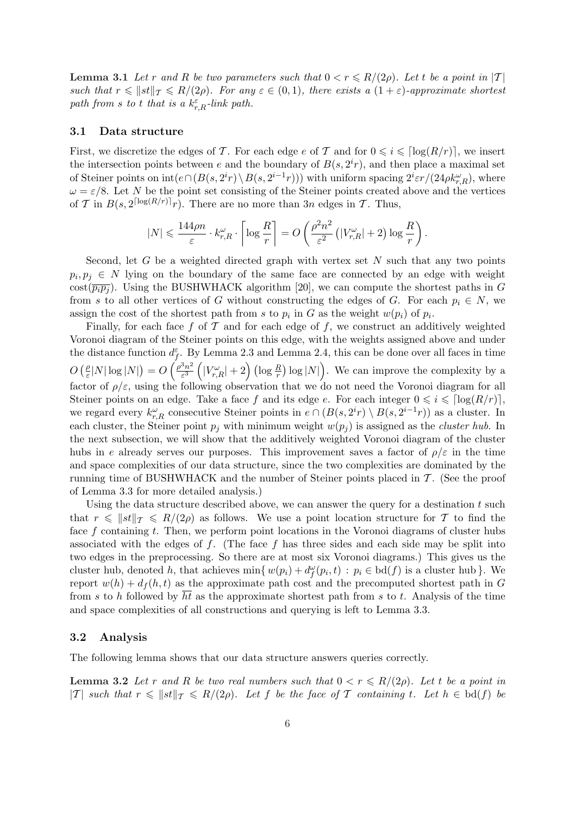**Lemma 3.1** Let r and R be two parameters such that  $0 < r \le R/(2\rho)$ . Let t be a point in |T| such that  $r \leq ||st||_{\mathcal{T}} \leq R/(2\rho)$ . For any  $\varepsilon \in (0,1)$ , there exists a  $(1+\varepsilon)$ -approximate shortest path from s to t that is a  $k_{r,R}^{\varepsilon}$ -link path.

#### 3.1 Data structure

First, we discretize the edges of T. For each edge e of T and for  $0 \leq i \leq \lceil \log(R/r) \rceil$ , we insert the intersection points between e and the boundary of  $B(s, 2<sup>i</sup>r)$ , and then place a maximal set of Steiner points on  $int(e \cap (B(s, 2<sup>i</sup>r) \setminus B(s, 2<sup>i-1</sup>r)))$  with uniform spacing  $2<sup>i</sup> \varepsilon r/(24\rho k_{r,R}^{\omega})$ , where  $\omega = \varepsilon/8$ . Let N be the point set consisting of the Steiner points created above and the vertices of T in  $B(s, 2^{\lceil \log(R/r) \rceil}r)$ . There are no more than 3n edges in T. Thus,

$$
|N| \leqslant \frac{144\rho n}{\varepsilon}\cdot k_{r,R}^\omega\cdot \left\lceil\log\frac{R}{r}\right\rceil = O\left(\frac{\rho^2n^2}{\varepsilon^2}\left(|V_{r,R}^\omega|+2\right)\log\frac{R}{r}\right).
$$

Second, let  $G$  be a weighted directed graph with vertex set  $N$  such that any two points  $p_i, p_j \in N$  lying on the boundary of the same face are connected by an edge with weight  $\cot(\overline{p_i p_j})$ . Using the BUSHWHACK algorithm [20], we can compute the shortest paths in G from s to all other vertices of G without constructing the edges of G. For each  $p_i \in N$ , we assign the cost of the shortest path from s to  $p_i$  in G as the weight  $w(p_i)$  of  $p_i$ .

Finally, for each face f of  $\mathcal T$  and for each edge of f, we construct an additively weighted Voronoi diagram of the Steiner points on this edge, with the weights assigned above and under the distance function  $d_f^{\varepsilon}$ . By Lemma 2.3 and Lemma 2.4, this can be done over all faces in time  $\overline{O}$  $\rho$  $\frac{\rho}{\varepsilon}|N|\log|N|$ ¢  $=$   $\overline{O}$  $\frac{a_f}{\rho^3 n^2}$ ε 3 ³  $|V_{r,R}^\omega|+2\Big)\,(\log {R\over r}$ ¢  $\log|N|$ ب.<br>∖ . We can improve the complexity by a factor of  $\rho/\varepsilon$ , using the following observation that we do not need the Voronoi diagram for all Steiner points on an edge. Take a face f and its edge e. For each integer  $0 \leq i \leq \lceil \log(R/r) \rceil$ , we regard every  $k_{r,R}^{\omega}$  consecutive Steiner points in  $e \cap (B(s, 2^{i}r) \setminus B(s, 2^{i-1}r))$  as a cluster. In each cluster, the Steiner point  $p_i$  with minimum weight  $w(p_i)$  is assigned as the *cluster hub*. In the next subsection, we will show that the additively weighted Voronoi diagram of the cluster hubs in e already serves our purposes. This improvement saves a factor of  $\rho/\varepsilon$  in the time and space complexities of our data structure, since the two complexities are dominated by the running time of BUSHWHACK and the number of Steiner points placed in  $\mathcal{T}$ . (See the proof of Lemma 3.3 for more detailed analysis.)

Using the data structure described above, we can answer the query for a destination  $t$  such that  $r \leq ||st||_{\mathcal{T}} \leq R/(2\rho)$  as follows. We use a point location structure for T to find the face  $f$  containing  $t$ . Then, we perform point locations in the Voronoi diagrams of cluster hubs associated with the edges of f. (The face f has three sides and each side may be split into two edges in the preprocessing. So there are at most six Voronoi diagrams.) This gives us the cluster hub, denoted h, that achieves  $\min\{w(p_i) + d_f^{\omega}(p_i,t) : p_i \in \text{bd}(f) \text{ is a cluster hub}\}\.$  We report  $w(h) + d_f(h, t)$  as the approximate path cost and the precomputed shortest path in G from s to h followed by ht as the approximate shortest path from s to t. Analysis of the time and space complexities of all constructions and querying is left to Lemma 3.3.

### 3.2 Analysis

The following lemma shows that our data structure answers queries correctly.

**Lemma 3.2** Let r and R be two real numbers such that  $0 < r \le R/(2\rho)$ . Let t be a point in |T| such that  $r \leq ||st||_{\mathcal{T}} \leq R/(2\rho)$ . Let f be the face of T containing t. Let  $h \in \text{bd}(f)$  be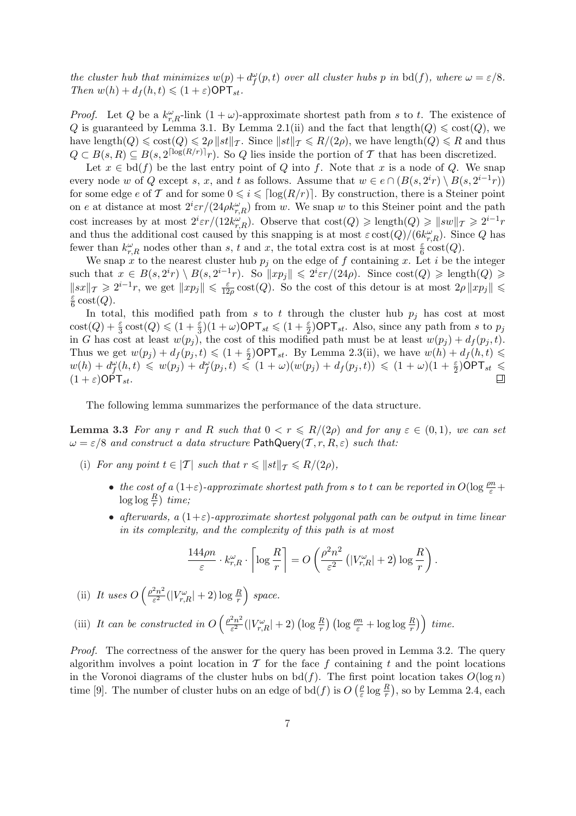the cluster hub that minimizes  $w(p) + d_f^{\omega}(p,t)$  over all cluster hubs p in bd(f), where  $\omega = \varepsilon/8$ . Then  $w(h) + d_f(h, t) \leq (1 + \varepsilon) \text{OPT}_{st}$ .

*Proof.* Let Q be a  $k_{r,R}^{\omega}$ -link  $(1 + \omega)$ -approximate shortest path from s to t. The existence of Q is guaranteed by Lemma 3.1. By Lemma 2.1(ii) and the fact that length( $Q$ )  $\leq$  cost( $Q$ ), we have length $(Q) \leq \text{cost}(Q) \leq 2\rho \|\text{st}\|_{\mathcal{T}}$ . Since  $\|\text{st}\|_{\mathcal{T}} \leq R/(2\rho)$ , we have length $(Q) \leq R$  and thus  $Q \subset B(s, R) \subseteq B(s, 2^{\lceil \log(R/r) \rceil} r)$ . So Q lies inside the portion of T that has been discretized.

Let  $x \in \text{bd}(f)$  be the last entry point of Q into f. Note that x is a node of Q. We snap every node w of Q except s, x, and t as follows. Assume that  $w \in e \cap (B(s, 2^i r) \setminus B(s, 2^{i-1} r))$ for some edge e of T and for some  $0 \leq i \leq \lceil \log(R/r) \rceil$ . By construction, there is a Steiner point on e at distance at most  $2^{i}\varepsilon r/(24\rho k_{r,R}^{\omega})$  from w. We snap w to this Steiner point and the path cost increases by at most  $2^i \varepsilon r/(12k_{r,R}^{\omega})$ . Observe that  $\cosh(Q) \geqslant \text{length}(Q) \geqslant ||sw||_{\mathcal{T}} \geqslant 2^{i-1}r$ and thus the additional cost caused by this snapping is at most  $\varepsilon \cot(Q)/(6k_{r,R}^{\omega})$ . Since Q has fewer than  $k_{r,R}^{\omega}$  nodes other than s, t and x, the total extra cost is at most  $\frac{\varepsilon}{6} \cosh(Q)$ .

We snap x to the nearest cluster hub  $p_j$  on the edge of f containing x. Let i be the integer such that  $x \in B(s, 2^i r) \setminus B(s, 2^{i-1} r)$ . So  $||xp_j|| \leq 2^i \varepsilon r/(24\rho)$ . Since  $\cosh(Q) \geq \text{length}(Q) \geq$  $||sx||_{\mathcal{T}} \geq 2^{i-1}r$ , we get  $||xp_j|| \leq \frac{\varepsilon}{12}$  $\frac{\varepsilon}{12\rho} \text{cost}(Q)$ . So the cost of this detour is at most  $2\rho ||xp_j|| \leq$ ε  $rac{\varepsilon}{6} \operatorname{cost}(Q).$ 

In total, this modified path from s to t through the cluster hub  $p_i$  has cost at most  $\text{cost}(Q) + \frac{\varepsilon}{3}\text{cost}(Q) \leq (1 + \frac{\varepsilon}{3})(1 + \omega) \text{OPT}_{st} \leq (1 + \frac{\varepsilon}{2}) \text{OPT}_{st}$ . Also, since any path from s to  $p_j$ in G has cost at least  $w(p_i)$ , the cost of this modified path must be at least  $w(p_i) + d_f(p_i, t)$ . Thus we get  $w(p_j) + d_f(p_j, t) \leq (1 + \frac{\varepsilon}{2}) \mathsf{OPT}_{st}$ . By Lemma 2.3(ii), we have  $w(h) + d_f(h, t) \leq$  $w(h) + d_f^{\omega}(h,t) \leq w(p_j) + d_f^{\omega}(p_j,t) \leq (1 + \omega)(w(p_j) + d_f(p_j,t)) \leq (1 + \omega)(1 + \frac{\varepsilon}{2})\mathsf{OPT}_{st} \leq$  $(1+\varepsilon)$ OPT<sub>st</sub>.

The following lemma summarizes the performance of the data structure.

**Lemma 3.3** For any r and R such that  $0 < r \leq R/(2\rho)$  and for any  $\varepsilon \in (0,1)$ , we can set  $\omega = \varepsilon/8$  and construct a data structure PathQuery(T, r, R,  $\varepsilon$ ) such that:

- (i) For any point  $t \in |T|$  such that  $r \leq ||st||_T \leq R/(2\rho)$ ,
	- the cost of a  $(1+\varepsilon)$ -approximate shortest path from s to t can be reported in  $O(\log \frac{\rho n}{\varepsilon} +$  $\log \log \frac{R}{r}$ ) time;
	- afterwards, a  $(1+\varepsilon)$ -approximate shortest polygonal path can be output in time linear in its complexity, and the complexity of this path is at most

$$
\frac{144\rho n}{\varepsilon} \cdot k_{r,R}^{\omega} \cdot \left\lceil \log \frac{R}{r} \right\rceil = O\left(\frac{\rho^2 n^2}{\varepsilon^2} \left( |V_{r,R}^{\omega}| + 2 \right) \log \frac{R}{r}\right).
$$

(ii) It uses O  $\int \rho^2 n^2$  $\frac{e^{2}n^{2}}{\varepsilon^{2}}(|V_{r,R}^{\omega}|+2)\log \frac{R}{r}$ ´ space.

(iii) It can be constructed in O  $\int \rho^2 n^2$  $\frac{e^{2}n^{2}}{\varepsilon^{2}}(|V_{r,R}^{\omega}|+2)\left(\log\frac{R}{r}\right)\left(\log\frac{\rho n}{\varepsilon}+\log\log\frac{R}{r}\right)$ ¢ ´ time.

Proof. The correctness of the answer for the query has been proved in Lemma 3.2. The query algorithm involves a point location in  $\mathcal T$  for the face f containing t and the point locations in the Voronoi diagrams of the cluster hubs on  $bd(f)$ . The first point location takes  $O(\log n)$ time [9]. The number of cluster hubs on an edge of bd(f) is  $O(g)$  $\frac{\rho}{\varepsilon} \log \frac{R}{r}$ ), so by Lemma 2.4, each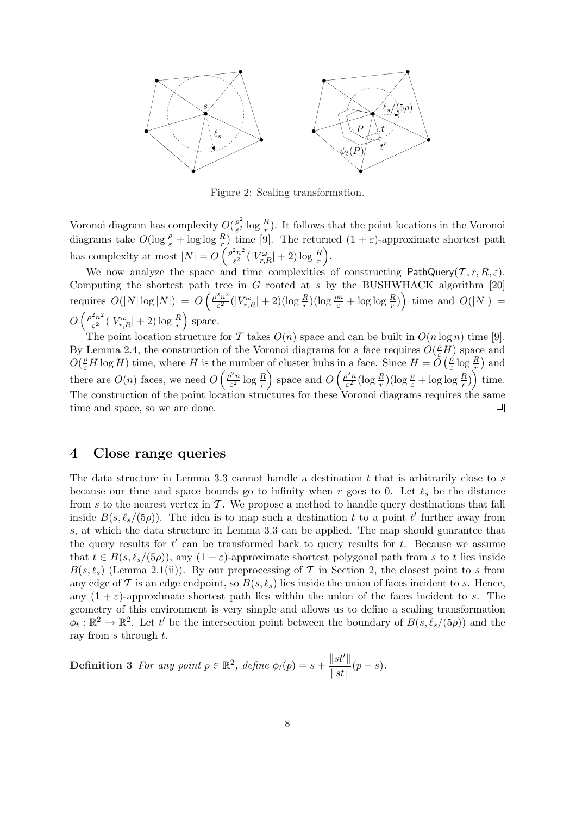

Figure 2: Scaling transformation.

Voronoi diagram has complexity  $O(\frac{\rho^2}{c^2})$  $\frac{\rho^2}{\varepsilon^2}$  log  $\frac{R}{r}$ ). It follows that the point locations in the Voronoi diagrams take  $O(\log \frac{\rho}{\varepsilon} + \log \log \frac{R}{r})$  time [9]. The returned  $(1 + \varepsilon)$ -approximate shortest path has complexity at most  $|N| = O\left(\frac{\rho^2 n^2}{c^2}\right)$  $\frac{2n^2}{\varepsilon^2}(|V^\omega_{r,R}|+2)\log\frac{R}{r}\Big).$ 

We now analyze the space and time complexities of constructing PathQuery(T, r, R,  $\varepsilon$ ). Computing the shortest path tree in  $G$  rooted at  $s$  by the BUSHWHACK algorithm [20] requires  $O(|N|\log |N|) = O\left(\frac{\rho^2 n^2}{c^2}\right)$  $\frac{2n^2}{\varepsilon^2}(|V_{r,R}^{\omega}|+2)(\log\frac{R}{r})(\log\frac{\rho n}{\varepsilon}+\log\log\frac{R}{r})\Big)$  time and  $O(|N|)=$  $O\left(\frac{\rho^2 n^2}{c^2}\right)$  $\frac{1}{2}$  and  $\frac{1}{2}$  ( $\frac{1}{2}$  )  $\frac{1}{2}$  ( $\frac{1}{2}$  )  $\frac{1}{2}$  $\frac{e^{2n^2}}{\varepsilon^2}(|V_{r,R}^{\omega}|+2)\log\frac{R}{r}$  space.

The point location structure for T takes  $O(n)$  space and can be built in  $O(n \log n)$  time [9]. By Lemma 2.4, the construction of the Voronoi diagrams for a face requires  $O(\frac{\rho}{\varepsilon}H)$  space and  $O(\frac{\rho}{\varepsilon}H\log H)$  time, where H is the number of cluster hubs in a face. Since  $H = O(\frac{\rho}{\varepsilon})$ he number of cluster hubs in a face. Since  $H = \tilde{O}\left(\frac{\rho}{\varepsilon} \log \frac{R}{r}\right)$  and there are  $O(n)$  faces, we need  $O\left(\frac{\rho^2 n}{c^2}\right)$  $\frac{p^2 n}{\varepsilon^2} \log \frac{R}{r}$  space and  $O\left(\frac{\rho^2 n}{\varepsilon^2}\right)$  $\frac{\partial^2 n}{\partial \varepsilon^2} (\log \frac{R}{r}) (\log \frac{\rho}{\varepsilon} + \log \log \frac{R}{r})\right)$  time. The construction of the point location structures for these Voronoi diagrams requires the same time and space, so we are done. 口

### 4 Close range queries

The data structure in Lemma 3.3 cannot handle a destination  $t$  that is arbitrarily close to  $s$ because our time and space bounds go to infinity when r goes to 0. Let  $\ell_s$  be the distance from s to the nearest vertex in  $\mathcal T$ . We propose a method to handle query destinations that fall inside  $B(s, \ell_s/(5\rho))$ . The idea is to map such a destination t to a point t' further away from s, at which the data structure in Lemma 3.3 can be applied. The map should guarantee that the query results for  $t'$  can be transformed back to query results for  $t$ . Because we assume that  $t \in B(s, \ell_s/(5\rho))$ , any  $(1 + \varepsilon)$ -approximate shortest polygonal path from s to t lies inside  $B(s, \ell_s)$  (Lemma 2.1(ii)). By our preprocessing of T in Section 2, the closest point to s from any edge of T is an edge endpoint, so  $B(s, \ell_s)$  lies inside the union of faces incident to s. Hence, any  $(1 + \varepsilon)$ -approximate shortest path lies within the union of the faces incident to s. The geometry of this environment is very simple and allows us to define a scaling transformation  $\phi_t : \mathbb{R}^2 \to \mathbb{R}^2$ . Let t' be the intersection point between the boundary of  $B(s, \ell_s/(5\rho))$  and the ray from  $s$  through  $t$ .

**Definition 3** For any point  $p \in \mathbb{R}^2$ , define  $\phi_t(p) = s +$  $\Vert st' \Vert$  $\frac{\|S\psi\|}{\|st\|}(p-s).$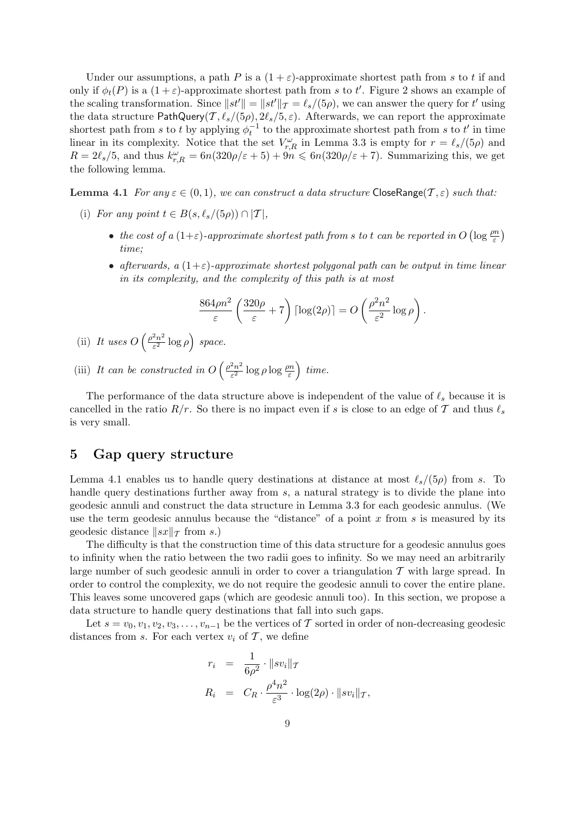Under our assumptions, a path P is a  $(1 + \varepsilon)$ -approximate shortest path from s to t if and only if  $\phi_t(P)$  is a  $(1+\varepsilon)$ -approximate shortest path from s to t'. Figure 2 shows an example of the scaling transformation. Since  $||st'|| = ||st'||_{\mathcal{T}} = \ell_s/(5\rho)$ , we can answer the query for t' using the data structure PathQuery(T,  $\ell_s/(5\rho)$ ,  $2\ell_s/5$ ,  $\varepsilon$ ). Afterwards, we can report the approximate shortest path from s to t by applying  $\phi_t^{-1}$  to the approximate shortest path from s to t' in time linear in its complexity. Notice that the set  $V_{r,R}^{\omega}$  in Lemma 3.3 is empty for  $r = \ell_s/(5\rho)$  and  $R = 2\ell_s/5$ , and thus  $k_{r,R}^{\omega} = 6n(320\rho/\varepsilon + 5) + 9n \leq 6n(320\rho/\varepsilon + 7)$ . Summarizing this, we get the following lemma.

**Lemma 4.1** For any  $\varepsilon \in (0,1)$ , we can construct a data structure CloseRange( $\mathcal{T}, \varepsilon$ ) such that:

- (i) For any point  $t \in B(s, \ell_s/(5\rho)) \cap |\mathcal{T}|$ ,
	- the cost of a  $(1+\varepsilon)$ -approximate shortest path from s to t can be reported in O  $\left(\log \frac{\rho n}{\varepsilon}\right)$ ¢ time;
	- afterwards, a  $(1+\varepsilon)$ -approximate shortest polygonal path can be output in time linear in its complexity, and the complexity of this path is at most

$$
\frac{864\rho n^2}{\varepsilon} \left( \frac{320\rho}{\varepsilon} + 7 \right) \left[ \log(2\rho) \right] = O\left( \frac{\rho^2 n^2}{\varepsilon^2} \log \rho \right).
$$

- (ii) It uses O  $\int \rho^2 n^2$  $\frac{2n^2}{\varepsilon^2} \log \rho$ ´ space.
- (iii) It can be constructed in O  $\int \rho^2 n^2$  $\frac{e^{2}n^{2}}{\varepsilon^{2}}\log\rho\log\frac{\rho n}{\varepsilon}$ ´ time.

The performance of the data structure above is independent of the value of  $\ell_s$  because it is cancelled in the ratio  $R/r$ . So there is no impact even if s is close to an edge of T and thus  $\ell_s$ is very small.

## 5 Gap query structure

Lemma 4.1 enables us to handle query destinations at distance at most  $\ell_s/(5\rho)$  from s. To handle query destinations further away from s, a natural strategy is to divide the plane into geodesic annuli and construct the data structure in Lemma 3.3 for each geodesic annulus. (We use the term geodesic annulus because the "distance" of a point  $x$  from  $s$  is measured by its geodesic distance  $||sx||_{\mathcal{T}}$  from s.)

The difficulty is that the construction time of this data structure for a geodesic annulus goes to infinity when the ratio between the two radii goes to infinity. So we may need an arbitrarily large number of such geodesic annuli in order to cover a triangulation  $\mathcal T$  with large spread. In order to control the complexity, we do not require the geodesic annuli to cover the entire plane. This leaves some uncovered gaps (which are geodesic annuli too). In this section, we propose a data structure to handle query destinations that fall into such gaps.

Let  $s = v_0, v_1, v_2, v_3, \ldots, v_{n-1}$  be the vertices of T sorted in order of non-decreasing geodesic distances from s. For each vertex  $v_i$  of  $\mathcal T$ , we define

$$
r_i = \frac{1}{6\rho^2} \cdot ||sv_i||_{\mathcal{T}}
$$
  

$$
R_i = C_R \cdot \frac{\rho^4 n^2}{\varepsilon^3} \cdot \log(2\rho) \cdot ||sv_i||_{\mathcal{T}},
$$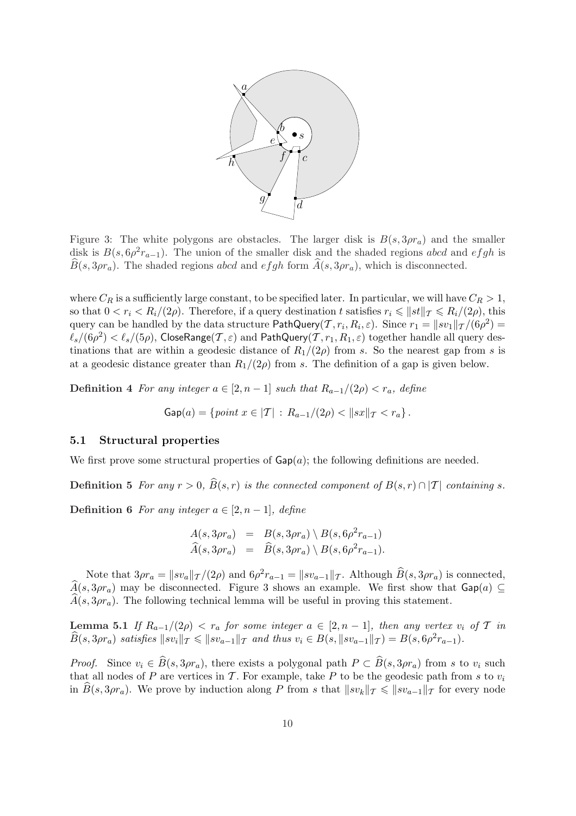

Figure 3: The white polygons are obstacles. The larger disk is  $B(s, 3\rho r_a)$  and the smaller disk is  $B(s, 6\rho^2 r_{a-1})$ . The union of the smaller disk and the shaded regions abcd and efgh is  $\widehat{B}(s, 3\rho r_a)$ . The shaded regions abcd and efgh form  $\widehat{A}(s, 3\rho r_a)$ , which is disconnected.

where  $C_R$  is a sufficiently large constant, to be specified later. In particular, we will have  $C_R > 1$ , so that  $0 < r_i < R_i/(2\rho)$ . Therefore, if a query destination t satisfies  $r_i \leq ||st||_{\mathcal{T}} \leq R_i/(2\rho)$ , this query can be handled by the data structure  $\mathsf{PathQuery}(\mathcal{T}, r_i, R_i, \varepsilon)$ . Since  $r_1 = \|sv_1\|_{\mathcal{T}}/(6\rho^2) =$  $\ell_s/(6\rho^2)<\ell_s/(5\rho)$ , CloseRange $(\mathcal{T},\varepsilon)$  and PathQuery $(\mathcal{T},r_1,R_1,\varepsilon)$  together handle all query destinations that are within a geodesic distance of  $R_1/(2\rho)$  from s. So the nearest gap from s is at a geodesic distance greater than  $R_1/(2\rho)$  from s. The definition of a gap is given below.

Definition 4 For any integer  $a \in [2, n-1]$  such that  $R_{a-1}/(2\rho) < r_a$ , define

$$
\mathsf{Gap}(a) = \{ \text{point } x \in |\mathcal{T}| \, : \, R_{a-1}/(2\rho) < \|sx\|_{\mathcal{T}} < r_a \} \, .
$$

#### 5.1 Structural properties

We first prove some structural properties of  $\text{Gap}(a)$ ; the following definitions are needed.

**Definition 5** For any  $r > 0$ ,  $\widehat{B}(s,r)$  is the connected component of  $B(s,r) \cap |\mathcal{T}|$  containing s.

Definition 6 For any integer  $a \in [2, n-1]$ , define

$$
A(s, 3\rho r_a) = B(s, 3\rho r_a) \ B(s, 6\rho^2 r_{a-1})
$$
  

$$
\widehat{A}(s, 3\rho r_a) = \widehat{B}(s, 3\rho r_a) \ B(s, 6\rho^2 r_{a-1}).
$$

Note that  $3\rho r_a = ||sv_a||_{\mathcal{T}}/(2\rho)$  and  $6\rho^2 r_{a-1} = ||sv_{a-1}||_{\mathcal{T}}$ . Although  $\widehat{B}(s, 3\rho r_a)$  is connected,  $\widehat{A}(s, 3\rho r_a)$  may be disconnected. Figure 3 shows an example. We first show that  $\mathsf{Gap}(a) \subseteq$  $A(s, 3\rho r_a)$ . The following technical lemma will be useful in proving this statement.

Lemma 5.1 If  $R_{a-1}/(2\rho) < r_a$  for some integer  $a \in [2, n-1]$ , then any vertex  $v_i$  of T in  $\widehat{B}(s,3\rho r_a)$  satisfies  $||sv_i||_T \le ||sv_{a-1}||_T$  and thus  $v_i \in B(s, ||sv_{a-1}||_T) = B(s, 6\rho^2 r_{a-1}).$ 

*Proof.* Since  $v_i \in \widehat{B}(s, 3\rho r_a)$ , there exists a polygonal path  $P \subset \widehat{B}(s, 3\rho r_a)$  from s to  $v_i$  such that all nodes of P are vertices in T. For example, take P to be the geodesic path from s to  $v_i$ in  $B(s, 3\rho r_a)$ . We prove by induction along P from s that  $||sv_k||_{\mathcal{T}} \leq ||sv_{a-1}||_{\mathcal{T}}$  for every node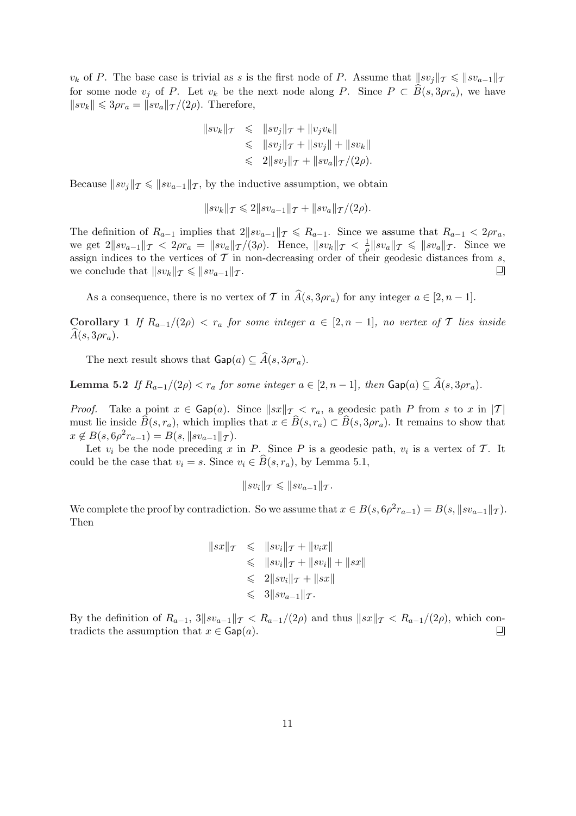$v_k$  of P. The base case is trivial as s is the first node of P. Assume that  $||sv_i||_T \le ||sv_{a-1}||_T$ for some node  $v_i$  of P. Let  $v_k$  be the next node along P. Since  $P \subset \widehat{B}(s, 3\rho r_a)$ , we have  $\|sv_k\| \leq 3\rho r_a = \|sv_a\|_{\mathcal{T}} / (2\rho).$  Therefore,

$$
||sv_k||_{\mathcal{T}} \leq ||sv_j||_{\mathcal{T}} + ||v_jv_k||
$$
  
\n
$$
\leq ||sv_j||_{\mathcal{T}} + ||sv_j|| + ||sv_k||
$$
  
\n
$$
\leq 2||sv_j||_{\mathcal{T}} + ||sv_a||_{\mathcal{T}}/(2\rho).
$$

Because  $\|sv_i\|_{\mathcal{T}} \leqslant \|sv_{a-1}\|_{\mathcal{T}}$ , by the inductive assumption, we obtain

$$
||sv_k||_{\mathcal{T}} \leq 2||sv_{a-1}||_{\mathcal{T}} + ||sv_a||_{\mathcal{T}}/(2\rho).
$$

The definition of  $R_{a-1}$  implies that  $2||sv_{a-1}||_T \le R_{a-1}$ . Since we assume that  $R_{a-1} < 2\rho r_a$ , we get  $2\|sv_{a-1}\|_{\mathcal{T}} < 2\rho r_a = \|sv_a\|_{\mathcal{T}}/(3\rho)$ . Hence,  $\|sv_k\|_{\mathcal{T}} < \frac{1}{\rho}$  $\frac{1}{\rho} \| sv_a \|_{\mathcal{T}} \leqslant \| sv_a \|_{\mathcal{T}}$ . Since we assign indices to the vertices of  $\mathcal T$  in non-decreasing order of their geodesic distances from  $s$ , we conclude that  $\|sv_k\|_{\mathcal{T}} \leqslant \|sv_{a-1}\|_{\mathcal{T}}$ . ▣

As a consequence, there is no vertex of T in  $\widehat{A}(s, 3\rho r_a)$  for any integer  $a \in [2, n-1]$ .

Corollary 1 If  $R_{a-1}/(2\rho) < r_a$  for some integer  $a \in [2, n-1]$ , no vertex of T lies inside  $A(s, 3\rho r_a)$ .

The next result shows that  $\mathsf{Gap}(a) \subseteq \widehat{A}(s, 3\rho r_a)$ .

Lemma 5.2 If  $R_{a-1}/(2\rho) < r_a$  for some integer  $a \in [2, n-1]$ , then  $\textsf{Gap}(a) \subseteq \hat{A}(s, 3\rho r_a)$ .

*Proof.* Take a point  $x \in \text{Gap}(a)$ . Since  $||sx||_T < r_a$ , a geodesic path P from s to x in |T| must lie inside  $\widehat{B}(s, r_a)$ , which implies that  $x \in \widehat{B}(s, r_a) \subset \widehat{B}(s, 3\rho r_a)$ . It remains to show that  $x \notin B(s, 6\rho^2 r_{a-1}) = B(s, \|s v_{a-1}\|_{\mathcal{T}}).$ 

Let  $v_i$  be the node preceding x in P. Since P is a geodesic path,  $v_i$  is a vertex of T. It could be the case that  $v_i = s$ . Since  $v_i \in \widehat{B}(s, r_a)$ , by Lemma 5.1,

$$
||sv_i||_{\mathcal{T}} \leq ||sv_{a-1}||_{\mathcal{T}}.
$$

We complete the proof by contradiction. So we assume that  $x \in B(s, 6\rho^2 r_{a-1}) = B(s, ||sv_{a-1}||_{\mathcal{T}})$ . Then

$$
||sx||_{\mathcal{T}} \leq ||sv_i||_{\mathcal{T}} + ||v_i x||
$$
  
\n
$$
\leq ||sv_i||_{\mathcal{T}} + ||sv_i|| + ||sx||
$$
  
\n
$$
\leq 2||sv_i||_{\mathcal{T}} + ||sx||
$$
  
\n
$$
\leq 3||sv_{a-1}||_{\mathcal{T}}.
$$

By the definition of  $R_{a-1}$ ,  $3||sv_{a-1}||_\mathcal{T} < R_{a-1}/(2\rho)$  and thus  $||sx||_\mathcal{T} < R_{a-1}/(2\rho)$ , which contradicts the assumption that  $x \in \text{Gap}(a)$ . ▣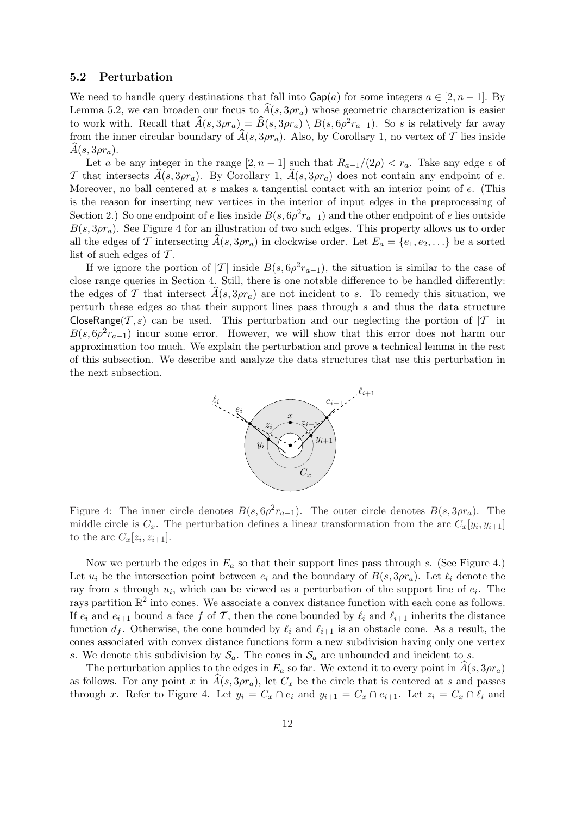#### 5.2 Perturbation

We need to handle query destinations that fall into  $\text{Gap}(a)$  for some integers  $a \in [2, n-1]$ . By Lemma 5.2, we can broaden our focus to  $A(s, 3\rho r_a)$  whose geometric characterization is easier to work with. Recall that  $\widehat{A}(s,3\rho r_a) = \widehat{B}(s,3\rho r_a) \setminus B(s,6\rho^2 r_{a-1})$ . So s is relatively far away from the inner circular boundary of  $\widehat{A}(s, 3\rho r_a)$ . Also, by Corollary 1, no vertex of T lies inside  $A(s, 3\rho r_a)$ .

Let a be any integer in the range  $[2, n-1]$  such that  $R_{a-1}/(2\rho) < r_a$ . Take any edge e of T that intersects  $A(s, 3\rho r_a)$ . By Corollary 1,  $A(s, 3\rho r_a)$  does not contain any endpoint of e. Moreover, no ball centered at s makes a tangential contact with an interior point of e. (This is the reason for inserting new vertices in the interior of input edges in the preprocessing of Section 2.) So one endpoint of e lies inside  $B(s, 6\rho^2 r_{a-1})$  and the other endpoint of e lies outside  $B(s, 3\rho r_a)$ . See Figure 4 for an illustration of two such edges. This property allows us to order all the edges of T intersecting  $\hat{A}(s, 3\rho r_a)$  in clockwise order. Let  $E_a = \{e_1, e_2, ...\}$  be a sorted list of such edges of  $\mathcal T$ .

If we ignore the portion of |T| inside  $B(s, 6\rho^2 r_{a-1})$ , the situation is similar to the case of close range queries in Section 4. Still, there is one notable difference to be handled differently: the edges of T that intersect  $\hat{A}(s, 3\rho r_a)$  are not incident to s. To remedy this situation, we perturb these edges so that their support lines pass through s and thus the data structure CloseRange( $\mathcal{T}, \varepsilon$ ) can be used. This perturbation and our neglecting the portion of  $|\mathcal{T}|$  in  $B(s, 6\rho^2 r_{a-1})$  incur some error. However, we will show that this error does not harm our approximation too much. We explain the perturbation and prove a technical lemma in the rest of this subsection. We describe and analyze the data structures that use this perturbation in the next subsection.



Figure 4: The inner circle denotes  $B(s, 6\rho^2 r_{a-1})$ . The outer circle denotes  $B(s, 3\rho r_a)$ . The middle circle is  $C_x$ . The perturbation defines a linear transformation from the arc  $C_x[y_i, y_{i+1}]$ to the arc  $C_x[z_i, z_{i+1}].$ 

Now we perturb the edges in  $E_a$  so that their support lines pass through s. (See Figure 4.) Let  $u_i$  be the intersection point between  $e_i$  and the boundary of  $B(s, 3\rho r_a)$ . Let  $\ell_i$  denote the ray from s through  $u_i$ , which can be viewed as a perturbation of the support line of  $e_i$ . The rays partition  $\mathbb{R}^2$  into cones. We associate a convex distance function with each cone as follows. If  $e_i$  and  $e_{i+1}$  bound a face f of T, then the cone bounded by  $\ell_i$  and  $\ell_{i+1}$  inherits the distance function  $d_f$ . Otherwise, the cone bounded by  $\ell_i$  and  $\ell_{i+1}$  is an obstacle cone. As a result, the cones associated with convex distance functions form a new subdivision having only one vertex s. We denote this subdivision by  $S_a$ . The cones in  $S_a$  are unbounded and incident to s.

The perturbation applies to the edges in  $E_a$  so far. We extend it to every point in  $\hat{A}(s, 3\rho r_a)$ as follows. For any point x in  $A(s, 3\rho r_a)$ , let  $C_x$  be the circle that is centered at s and passes through x. Refer to Figure 4. Let  $y_i = C_x \cap e_i$  and  $y_{i+1} = C_x \cap e_{i+1}$ . Let  $z_i = C_x \cap e_i$  and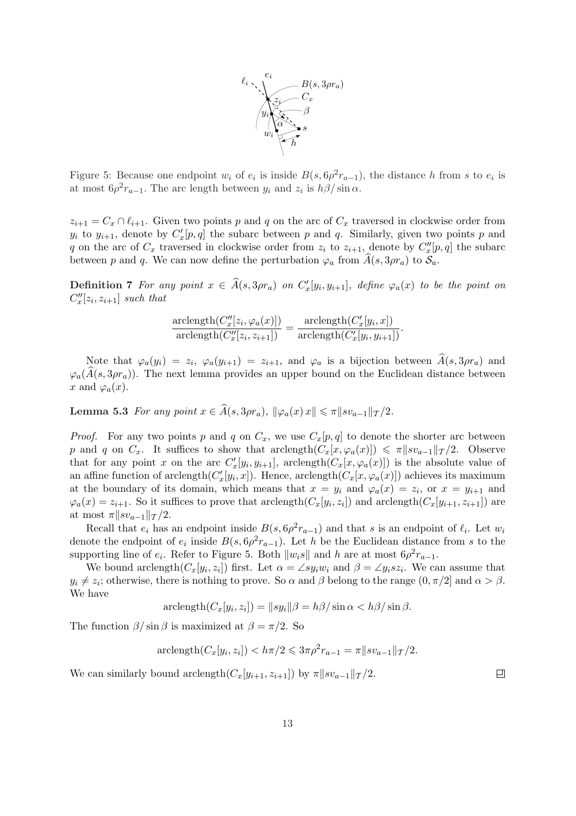

Figure 5: Because one endpoint  $w_i$  of  $e_i$  is inside  $B(s, 6\rho^2 r_{a-1})$ , the distance h from s to  $e_i$  is at most  $6\rho^2 r_{a-1}$ . The arc length between  $y_i$  and  $z_i$  is  $h\beta/\sin\alpha$ .

 $z_{i+1} = C_x \cap \ell_{i+1}$ . Given two points p and q on the arc of  $C_x$  traversed in clockwise order from  $y_i$  to  $y_{i+1}$ , denote by  $C'_x[p,q]$  the subarc between p and q. Similarly, given two points p and q on the arc of  $C_x$  traversed in clockwise order from  $z_i$  to  $z_{i+1}$ , denote by  $C''_x[p,q]$  the subarc between p and q. We can now define the perturbation  $\varphi_a$  from  $\hat{A}(s, 3\rho r_a)$  to  $\mathcal{S}_a$ .

**Definition 7** For any point  $x \in \widehat{A}(s, 3pr_a)$  on  $C_x'[y_i, y_{i+1}]$ , define  $\varphi_a(x)$  to be the point on  $C''_x[z_i, z_{i+1}]$  such that

$$
\frac{\operatorname{arclength}(C_x''[z_i, \varphi_a(x)])}{\operatorname{arclength}(C_x''[z_i, z_{i+1}])} = \frac{\operatorname{arclength}(C_x'[y_i, x])}{\operatorname{arclength}(C_x'[y_i, y_{i+1}])}.
$$

Note that  $\varphi_a(y_i) = z_i$ ,  $\varphi_a(y_{i+1}) = z_{i+1}$ , and  $\varphi_a$  is a bijection between  $\widehat{A}(s, 3\rho r_a)$  and  $\varphi_a(\hat{A}(s, 3\rho r_a))$ . The next lemma provides an upper bound on the Euclidean distance between x and  $\varphi_a(x)$ .

Lemma 5.3 For any point  $x \in \widehat{A}(s, 3\rho r_a)$ ,  $\|\varphi_a(x) x\| \leq \pi \|s v_{a-1}\|_{\mathcal{T}}/2$ .

*Proof.* For any two points p and q on  $C_x$ , we use  $C_x[p, q]$  to denote the shorter arc between p and q on  $C_x$ . It suffices to show that arclength $(C_x[x, \varphi_a(x)]) \leq \pi ||x_0 - x||_T / 2$ . Observe that for any point x on the arc  $C_x'[y_i, y_{i+1}]$ , arclength $(C_x[x, \varphi_a(x)])$  is the absolute value of an affine function of arclength $(C_x'[y_i, x])$ . Hence, arclength $(C_x[x, \varphi_a(x)])$  achieves its maximum at the boundary of its domain, which means that  $x = y_i$  and  $\varphi_a(x) = z_i$ , or  $x = y_{i+1}$  and  $\varphi_a(x) = z_{i+1}$ . So it suffices to prove that arclength $(C_x[y_i, z_i])$  and arclength $(C_x[y_{i+1}, z_{i+1}])$  are at most  $\pi || sv_{a-1}||_{\mathcal{T}}/2$ .

Recall that  $e_i$  has an endpoint inside  $B(s, 6\rho^2 r_{a-1})$  and that s is an endpoint of  $\ell_i$ . Let  $w_i$ denote the endpoint of  $e_i$  inside  $B(s, 6\rho^2 r_{a-1})$ . Let h be the Euclidean distance from s to the supporting line of  $e_i$ . Refer to Figure 5. Both  $||w_i s||$  and h are at most  $6\rho^2 r_{a-1}$ .

We bound arclength $(C_x[y_i, z_i])$  first. Let  $\alpha = \angle sy_iw_i$  and  $\beta = \angle y_isz_i$ . We can assume that  $y_i \neq z_i$ ; otherwise, there is nothing to prove. So  $\alpha$  and  $\beta$  belong to the range  $(0, \pi/2]$  and  $\alpha > \beta$ . We have

$$
\operatorname{arclength}(C_x[y_i, z_i]) = ||sy_i||\beta = h\beta/\sin \alpha < h\beta/\sin \beta.
$$

The function  $\beta/\sin\beta$  is maximized at  $\beta = \pi/2$ . So

$$
\text{arclength}(C_x[y_i, z_i]) < h\pi/2 \leq 3\pi \rho^2 r_{a-1} = \pi \|s v_{a-1}\|_{\mathcal{T}}/2.
$$

We can similarly bound arclength( $C_x[y_{i+1}, z_{i+1}]$ ) by  $\pi ||sv_{a-1}||_{\mathcal{T}}/2$ .

 $\Box$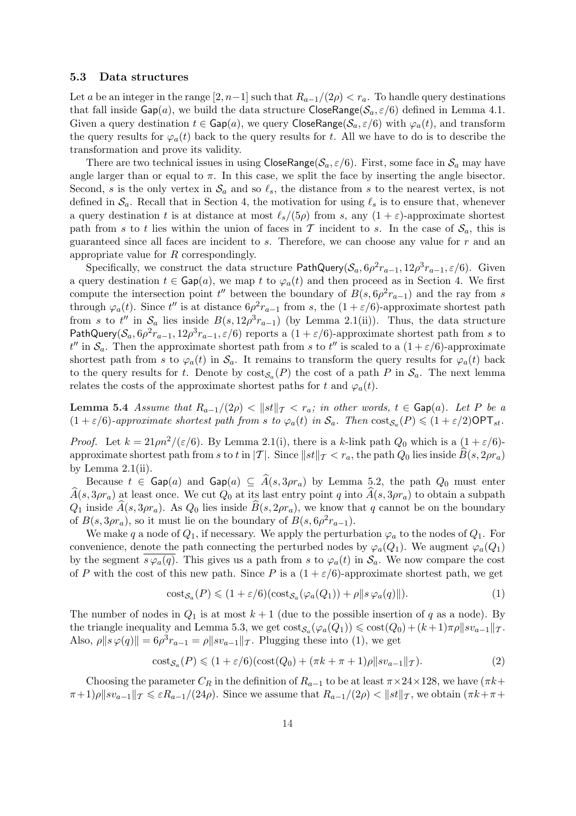#### 5.3 Data structures

Let a be an integer in the range  $[2, n-1]$  such that  $R_{a-1}/(2\rho) < r_a$ . To handle query destinations that fall inside  $\textsf{Gap}(a)$ , we build the data structure  $\textsf{CloseRange}(\mathcal{S}_a, \varepsilon/6)$  defined in Lemma 4.1. Given a query destination  $t \in \text{Gap}(a)$ , we query CloseRange( $\mathcal{S}_a, \varepsilon/6$ ) with  $\varphi_a(t)$ , and transform the query results for  $\varphi_a(t)$  back to the query results for t. All we have to do is to describe the transformation and prove its validity.

There are two technical issues in using CloseRange( $S_a$ ,  $\varepsilon/6$ ). First, some face in  $S_a$  may have angle larger than or equal to  $\pi$ . In this case, we split the face by inserting the angle bisector. Second, s is the only vertex in  $\mathcal{S}_a$  and so  $\ell_s$ , the distance from s to the nearest vertex, is not defined in  $\mathcal{S}_a$ . Recall that in Section 4, the motivation for using  $\ell_s$  is to ensure that, whenever a query destination t is at distance at most  $\ell_s/(5\rho)$  from s, any  $(1 + \varepsilon)$ -approximate shortest path from s to t lies within the union of faces in T incident to s. In the case of  $S_a$ , this is guaranteed since all faces are incident to  $s$ . Therefore, we can choose any value for  $r$  and an appropriate value for R correspondingly.

Specifically, we construct the data structure PathQuery( $S_a$ ,  $6\rho^2 r_{a-1}$ ,  $12\rho^3 r_{a-1}$ ,  $\varepsilon/6$ ). Given a query destination  $t \in \mathsf{Gap}(a)$ , we map t to  $\varphi_a(t)$  and then proceed as in Section 4. We first compute the intersection point  $t''$  between the boundary of  $B(s, 6\rho^2 r_{a-1})$  and the ray from s through  $\varphi_a(t)$ . Since t'' is at distance  $6\rho^2 r_{a-1}$  from s, the  $(1 + \varepsilon/6)$ -approximate shortest path from s to t'' in  $S_a$  lies inside  $B(s, 12\rho^3 r_{a-1})$  (by Lemma 2.1(ii)). Thus, the data structure PathQuery( $S_a$ ,  $6\rho^2 r_{a-1}$ ,  $12\rho^3 r_{a-1}$ ,  $\varepsilon/6$ ) reports a (1 +  $\varepsilon/6$ )-approximate shortest path from s to  $t''$  in  $\mathcal{S}_a$ . Then the approximate shortest path from s to  $t''$  is scaled to a  $(1+\varepsilon/6)$ -approximate shortest path from s to  $\varphi_a(t)$  in  $\mathcal{S}_a$ . It remains to transform the query results for  $\varphi_a(t)$  back to the query results for t. Denote by  $\text{cost}_{\mathcal{S}_a}(P)$  the cost of a path P in  $\mathcal{S}_a$ . The next lemma relates the costs of the approximate shortest paths for t and  $\varphi_a(t)$ .

Lemma 5.4 Assume that  $R_{a-1}/(2\rho) < ||st||_{\mathcal{T}} < r_a$ ; in other words,  $t \in \text{Gap}(a)$ . Let P be a  $(1+\varepsilon/6)$ -approximate shortest path from s to  $\varphi_a(t)$  in  $\mathcal{S}_a$ . Then  $\text{cost}_{\mathcal{S}_a}(P) \leq (1+\varepsilon/2)\text{OPT}_{st}$ .

*Proof.* Let  $k = 21 \rho n^2/(\epsilon/6)$ . By Lemma 2.1(i), there is a k-link path  $Q_0$  which is a  $(1 + \epsilon/6)$ approximate shortest path from s to t in  $|T|$ . Since  $||st||_T < r_a$ , the path  $Q_0$  lies inside  $\hat{B}(s, 2\rho r_a)$ by Lemma  $2.1$ (ii).

Because  $t \in \mathsf{Gap}(a)$  and  $\mathsf{Gap}(a) \subseteq \overline{A}(s, 3\rho r_a)$  by Lemma 5.2, the path  $Q_0$  must enter  $\hat{A}(s,3\rho r_a)$  at least once. We cut  $Q_0$  at its last entry point q into  $\hat{A}(s,3\rho r_a)$  to obtain a subpath  $Q_1$  inside  $\hat{A}(s, 3\rho r_a)$ . As  $Q_0$  lies inside  $\hat{B}(s, 2\rho r_a)$ , we know that q cannot be on the boundary of  $B(s, 3\rho r_a)$ , so it must lie on the boundary of  $B(s, 6\rho^2 r_{a-1})$ .

We make q a node of  $Q_1$ , if necessary. We apply the perturbation  $\varphi_a$  to the nodes of  $Q_1$ . For convenience, denote the path connecting the perturbed nodes by  $\varphi_a(Q_1)$ . We augment  $\varphi_a(Q_1)$ by the segment  $s\varphi_a(q)$ . This gives us a path from s to  $\varphi_a(t)$  in  $\mathcal{S}_a$ . We now compare the cost of P with the cost of this new path. Since P is a  $(1 + \varepsilon/6)$ -approximate shortest path, we get

$$
cost_{\mathcal{S}_a}(P) \leq (1 + \varepsilon/6)(cost_{\mathcal{S}_a}(\varphi_a(Q_1)) + \rho ||s\,\varphi_a(q)||). \tag{1}
$$

The number of nodes in  $Q_1$  is at most  $k+1$  (due to the possible insertion of q as a node). By the triangle inequality and Lemma 5.3, we get  $\cos \xi_a(\varphi_a(Q_1)) \leq \cos \xi(Q_0) + (k+1)\pi \rho ||sv_{a-1}||_{\mathcal{T}}$ . Also,  $\rho \| s \varphi(q) \| = 6\rho^3 r_{a-1} = \rho \| s v_{a-1} \|_T$ . Plugging these into (1), we get

$$
cost_{\mathcal{S}_a}(P) \le (1 + \varepsilon/6)(cost(Q_0) + (\pi k + \pi + 1)\rho || sv_{a-1}||_{\mathcal{T}}).
$$
\n(2)

Choosing the parameter  $C_R$  in the definition of  $R_{a-1}$  to be at least  $\pi \times 24 \times 128$ , we have ( $\pi k+$  $\pi+1\rho\|sv_{a-1}\|_{\mathcal{T}}\leqslant \varepsilon R_{a-1}/(24\rho)$ . Since we assume that  $R_{a-1}/(2\rho)<\|st\|_{\mathcal{T}}$ , we obtain  $(\pi k+\pi+\varepsilon)$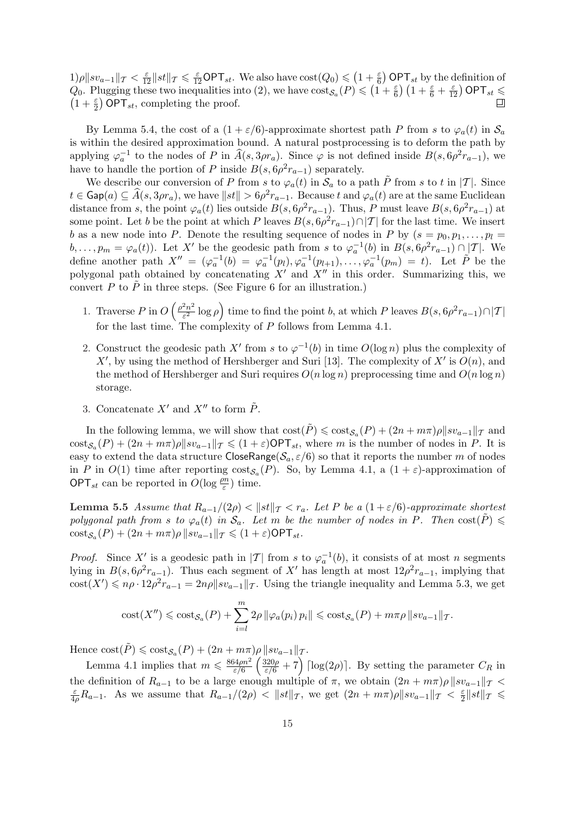$\left(1+\frac{\varepsilon}{6}\right)$ ¢  $1)\rho \| sv_{a-1} \|_T < \frac{\varepsilon}{12} \| st \|_T \leqslant \frac{\varepsilon}{12} \mathsf{OPT}_{st}$ . We also have  $\text{cost}(Q_0) \leqslant$  $(\frac{\varepsilon}{6})$  OPT<sub>st</sub> by the definition of  $Q_0$ . Plugging these two inequalities into (2), we have  $\cos t(\mathcal{Q}_0) \leq (1 + \frac{\varepsilon}{6})$  OPT<sub>st</sub> by the definition of  $Q_0$ . Plugging these two inequalities into (2), we have  $\cos t_{\mathcal{S}_a}(P) \leq (1 + \frac{\varepsilon}{6}) (1 + \frac{\varepsilon}{6} + \frac{\varepsilon$  $1+\frac{\varepsilon}{2}$  OPT<sub>st</sub>, completing the proof.  $\Box$ 

By Lemma 5.4, the cost of a  $(1 + \varepsilon/6)$ -approximate shortest path P from s to  $\varphi_a(t)$  in  $\mathcal{S}_a$ is within the desired approximation bound. A natural postprocessing is to deform the path by applying  $\varphi_a^{-1}$  to the nodes of P in  $\widehat{A}(s, 3\rho r_a)$ . Since  $\varphi$  is not defined inside  $B(s, 6\rho^2 r_{a-1})$ , we have to handle the portion of P inside  $B(s, 6\rho^2 r_{a-1})$  separately.

We describe our conversion of P from s to  $\varphi_a(t)$  in  $\mathcal{S}_a$  to a path  $\tilde{P}$  from s to t in |T|. Since  $t \in \mathsf{Gap}(a) \subseteq \widehat{A}(s, 3\rho r_a)$ , we have  $\|st\| > 6\rho^2 r_{a-1}$ . Because  $t$  and  $\varphi_a(t)$  are at the same Euclidean distance from s, the point  $\varphi_a(t)$  lies outside  $B(s, 6\rho^2 r_{a-1})$ . Thus, P must leave  $B(s, 6\rho^2 r_{a-1})$  at some point. Let b be the point at which P leaves  $B(s, 6\rho^2 r_{a-1}) \cap |T|$  for the last time. We insert b as a new node into P. Denote the resulting sequence of nodes in P by  $(s = p_0, p_1, \ldots, p_l =$  $b, \ldots, p_m = \varphi_a(t)$ . Let X' be the geodesic path from s to  $\varphi_a^{-1}(b)$  in  $B(s, 6\rho^2 r_{a-1}) \cap |T|$ . We define another path  $X'' = (\varphi_a^{-1}(b) = \varphi_a^{-1}(p_l), \varphi_a^{-1}(p_{l+1}), \ldots, \varphi_a^{-1}(p_m) = t)$ . Let  $\tilde{P}$  be the polygonal path obtained by concatenating  $X'$  and  $X''$  in this order. Summarizing this, we convert P to  $\tilde{P}$  in three steps. (See Figure 6 for an illustration.)

- 1. Traverse  $P$  in  $O$  $\int \rho^2 n^2$  $\frac{2n^2}{\varepsilon^2} \log \rho$ time to find the point b, at which P leaves  $B(s, 6\rho^2 r_{a-1}) \cap |T|$ for the last time. The complexity of P follows from Lemma 4.1.
- 2. Construct the geodesic path X' from s to  $\varphi^{-1}(b)$  in time  $O(\log n)$  plus the complexity of X', by using the method of Hershberger and Suri [13]. The complexity of  $X'$  is  $O(n)$ , and the method of Hershberger and Suri requires  $O(n \log n)$  preprocessing time and  $O(n \log n)$ storage.
- 3. Concatenate  $X'$  and  $X''$  to form  $\tilde{P}$ .

´

In the following lemma, we will show that  $\text{cost}(\tilde{P}) \leqslant \text{cost}_{\mathcal{S}_a}(P) + (2n + m\pi)\rho \|sv_{a-1}\|_{\mathcal{T}}$  and  $\text{cost}_{\mathcal{S}_a}(P) + (2n + m\pi)\rho \|sv_{a-1}\|_{\mathcal{T}} \leqslant (1+\varepsilon)\textsf{OPT}_{st}$ , where m is the number of nodes in P. It is easy to extend the data structure CloseRange( $S_a$ ,  $\varepsilon/6$ ) so that it reports the number m of nodes in P in  $O(1)$  time after reporting  $\text{cost}_{\mathcal{S}_a}(P)$ . So, by Lemma 4.1, a  $(1+\varepsilon)$ -approximation of **OPT**<sub>st</sub> can be reported in  $O(\log \frac{\rho n}{\varepsilon})$  time.

**Lemma 5.5** Assume that  $R_{a-1}/(2\rho) < ||st||_T < r_a$ . Let P be a  $(1+\varepsilon/6)$ -approximate shortest polygonal path from s to  $\varphi_a(t)$  in  $\mathcal{S}_a$ . Let m be the number of nodes in P. Then  $\text{cost}(P) \leq$  $\mathrm{cost}_{\mathcal{S}_a}(P) + (2n + m\pi)\rho \, \|sv_{a-1}\|_{\mathcal{T}} \leqslant (1+\varepsilon)\mathsf{OPT}_{st}.$ 

*Proof.* Since X' is a geodesic path in |T| from s to  $\varphi_a^{-1}(b)$ , it consists of at most n segments lying in  $B(s, 6\rho^2 r_{a-1})$ . Thus each segment of X' has length at most  $12\rho^2 r_{a-1}$ , implying that  $\text{cost}(X') \leqslant n\rho \cdot 12\rho^2 r_{a-1} = 2n\rho \|s v_{a-1}\|_{\mathcal{T}}$ . Using the triangle inequality and Lemma 5.3, we get

$$
cost(X'') \leq cost_{\mathcal{S}_a}(P) + \sum_{i=l}^m 2\rho \|\varphi_a(p_i) p_i\| \leq cost_{\mathcal{S}_a}(P) + m\pi\rho \|sv_{a-1}\|_{\mathcal{T}}.
$$

Hence  $\text{cost}(\tilde{P}) \leq \text{cost}_{\mathcal{S}_a}(P) + (2n + m\pi)\rho \Vert sv_{a-1}\Vert_T$ .

Lemma 4.1 implies that  $m \leqslant \frac{864 \rho n^2}{\epsilon/6}$ ε/6 320ρ  $\frac{320\rho}{\varepsilon/6} + 7$   $\left[\log(2\rho)\right]$ . By setting the parameter  $C_R$  in the definition of  $R_{a-1}$  to be a large enough multiple of  $\pi$ , we obtain  $(2n + m\pi)\rho ||sv_{a-1}||_{\mathcal{T}}$ ε  $\frac{\varepsilon}{4\rho}R_{a-1}$ . As we assume that  $R_{a-1}/(2\rho) < ||st||_{\mathcal{T}}$ , we get  $(2n + m\pi)\rho||sv_{a-1}||_{\mathcal{T}} < \frac{\varepsilon}{2}$  $\frac{\varepsilon}{2}$ ||st|| $\tau \leqslant$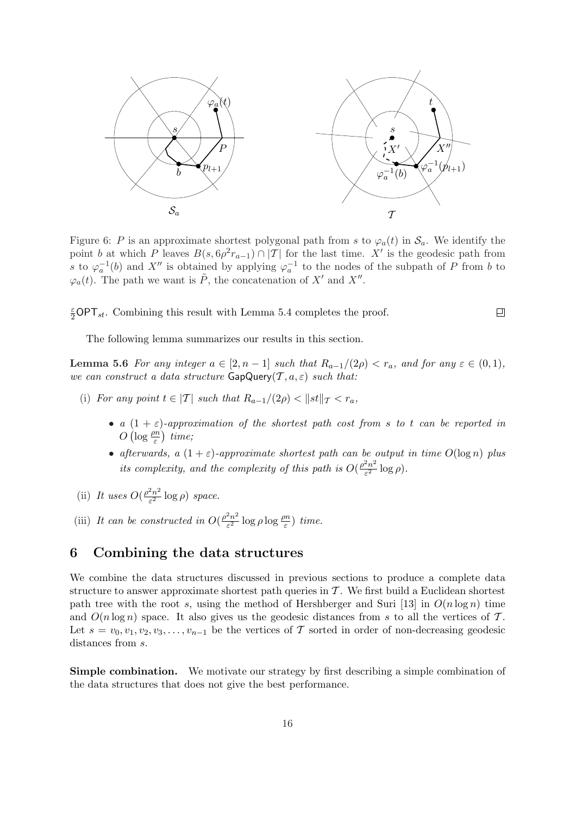

Figure 6: P is an approximate shortest polygonal path from s to  $\varphi_a(t)$  in  $\mathcal{S}_a$ . We identify the point b at which P leaves  $B(s, 6\rho^2 r_{a-1}) \cap |T|$  for the last time. X' is the geodesic path from s to  $\varphi_a^{-1}(b)$  and X'' is obtained by applying  $\varphi_a^{-1}$  to the nodes of the subpath of P from b to  $\varphi_a(t)$ . The path we want is  $\tilde{P}$ , the concatenation of X' and X''.

 $\frac{\varepsilon}{2}$ OPT<sub>st</sub>. Combining this result with Lemma 5.4 completes the proof.

The following lemma summarizes our results in this section.

**Lemma 5.6** For any integer  $a \in [2, n-1]$  such that  $R_{a-1}/(2\rho) < r_a$ , and for any  $\varepsilon \in (0,1)$ , we can construct a data structure  $\mathsf{GapQuery}(\mathcal{T}, a, \varepsilon)$  such that:

- (i) For any point  $t \in |T|$  such that  $R_{a-1}/(2\rho) < ||st||_T < r_a$ ,
	- a  $(1 + \varepsilon)$ -approximation of the shortest path cost from s to t can be reported in  $O\left(\log \frac{\rho n}{\varepsilon}\right)$  time;
	- afterwards, a  $(1+\varepsilon)$ -approximate shortest path can be output in time  $O(\log n)$  plus its complexity, and the complexity of this path is  $O(\frac{\rho^2 n^2}{\epsilon^2})$  $\frac{2n^2}{\varepsilon^2} \log \rho$ ).
- (ii) It uses  $O(\frac{\rho^2 n^2}{c^2})$  $\frac{2n^2}{\varepsilon^2} \log \rho$ ) space.
- (iii) It can be constructed in  $O(\frac{\rho^2 n^2}{c^2})$  $\frac{e^{2}n^{2}}{\varepsilon^{2}}\log\rho\log\frac{\rho n}{\varepsilon})$  time.

# 6 Combining the data structures

We combine the data structures discussed in previous sections to produce a complete data structure to answer approximate shortest path queries in  $\mathcal T$ . We first build a Euclidean shortest path tree with the root s, using the method of Hershberger and Suri [13] in  $O(n \log n)$  time and  $O(n \log n)$  space. It also gives us the geodesic distances from s to all the vertices of T. Let  $s = v_0, v_1, v_2, v_3, \ldots, v_{n-1}$  be the vertices of T sorted in order of non-decreasing geodesic distances from  $s$ .

Simple combination. We motivate our strategy by first describing a simple combination of the data structures that does not give the best performance.

口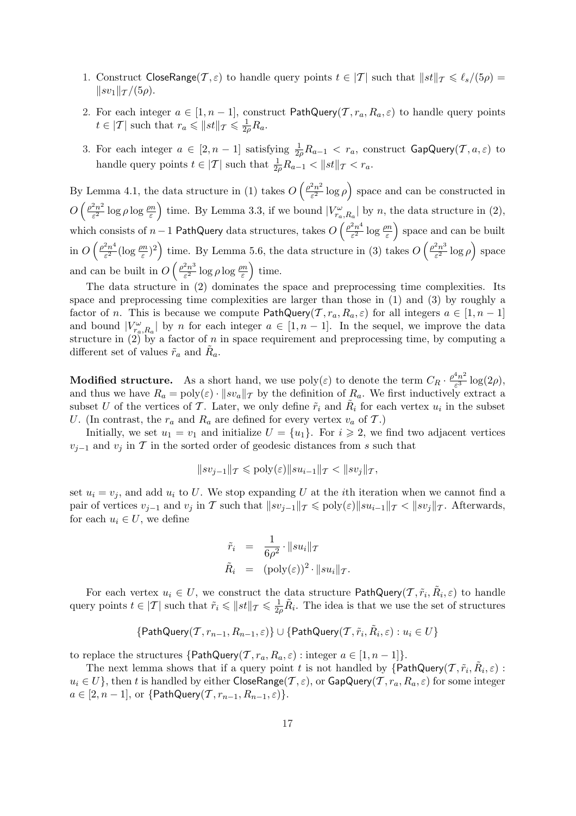- 1. Construct CloseRange( $\mathcal{T}, \varepsilon$ ) to handle query points  $t \in |\mathcal{T}|$  such that  $||st||_{\mathcal{T}} \leq \ell_s/(5\rho) =$  $\|sv_1\|_{\mathcal{T}}/(5\rho).$
- 2. For each integer  $a \in [1, n-1]$ , construct PathQuery(T,  $r_a, R_a, \varepsilon$ ) to handle query points  $t \in |\mathcal{T}|$  such that  $r_a \leqslant ||st||_{\mathcal{T}} \leqslant \frac{1}{2a}$  $\frac{1}{2\rho}R_a$  .
- 3. For each integer  $a \in [2, n-1]$  satisfying  $\frac{1}{2\rho}R_{a-1} < r_a$ , construct  $\textsf{GapQuery}(\mathcal{T}, a, \varepsilon)$  to handle query points  $t \in |\mathcal{T}|$  such that  $\frac{1}{2\rho} R_{a-1} < ||st||_{\mathcal{T}} < r_a$ .

By Lemma 4.1, the data structure in  $(1)$  takes  $O$  $\int \rho^2 n^2$  $\frac{2n^2}{\varepsilon^2} \log \rho$ ´ space and can be constructed in  $O\left(\frac{\rho^2 n^2}{c^2}\right)$  $\frac{1}{2}$  $\frac{2n^2}{\varepsilon^2}$  log  $\rho \log \frac{\rho n}{\varepsilon}$  time. By Lemma 3.3, if we bound  $|V_{r_a,R_a}^{\omega}|$  by n, the data structure in (2), which consists of  $n-1$  PathQuery data structures, takes  $O\left(\frac{\rho^2 n^4}{\epsilon^2}\right)$  $a_1R_a$ <sup>1</sup><sup>-</sup>  $\frac{2n^4}{\varepsilon^2} \log \frac{\rho n}{\varepsilon}$  space and can be built in  $O\left(\frac{\rho^2 n^4}{c^2}\right)$  $\left( \begin{array}{c} \epsilon^2 \\ \epsilon^2 \end{array} \right)$  which is extracted by the set of  $\left( \begin{array}{c} \epsilon^2 \\ \epsilon^2 \end{array} \right)$  of the set of the  $\left( \begin{array}{c} 0 & 0 \\ 0 & 0 \end{array} \right)$  $\frac{e^{2n^4}}{\varepsilon^2}(\log \frac{\rho n}{\varepsilon})^2$  time. By Lemma 5.6, the data structure in (3) takes  $O\left(\frac{\rho^2 n^3}{\varepsilon^2}\right)$  $\frac{\varepsilon_n^{2n}}{\varepsilon^2} \log \rho$ ) space and can be built in  $O\left(\frac{\rho^2 n^3}{c^2}\right)$  $\alpha$  $\frac{2n^3}{\varepsilon^2} \log \rho \log \frac{\rho n}{\varepsilon}$  time.

The data structure in (2) dominates the space and preprocessing time complexities. Its space and preprocessing time complexities are larger than those in (1) and (3) by roughly a factor of n. This is because we compute PathQuery(T,  $r_a, R_a, \varepsilon$ ) for all integers  $a \in [1, n-1]$ and bound  $|V_{r_a,R_a}^{\omega}|$  by n for each integer  $a \in [1, n-1]$ . In the sequel, we improve the data structure in  $(2)$  by a factor of n in space requirement and preprocessing time, by computing a different set of values  $\tilde{r}_a$  and  $\tilde{R}_a$ .

**Modified structure.** As a short hand, we use  $\text{poly}(\varepsilon)$  to denote the term  $C_R \cdot \frac{\rho^4 n^2}{\varepsilon^3}$  $\frac{m^2}{\varepsilon^3} \log(2\rho),$ and thus we have  $R_a = \text{poly}(\varepsilon) \cdot ||sv_a||_{\mathcal{T}}$  by the definition of  $R_a$ . We first inductively extract a subset U of the vertices of T. Later, we only define  $\tilde{r}_i$  and  $\tilde{R}_i$  for each vertex  $u_i$  in the subset U. (In contrast, the  $r_a$  and  $R_a$  are defined for every vertex  $v_a$  of  $\mathcal{T}$ .)

Initially, we set  $u_1 = v_1$  and initialize  $U = \{u_1\}$ . For  $i \geq 2$ , we find two adjacent vertices  $v_{i-1}$  and  $v_i$  in T in the sorted order of geodesic distances from s such that

$$
||sv_{j-1}||_{\mathcal{T}} \leqslant \text{poly}(\varepsilon) ||su_{i-1}||_{\mathcal{T}} < ||sv_j||_{\mathcal{T}},
$$

set  $u_i = v_i$ , and add  $u_i$  to U. We stop expanding U at the *i*th iteration when we cannot find a pair of vertices  $v_{j-1}$  and  $v_j$  in T such that  $||sv_{j-1}||_{\mathcal{T}} \leq \text{poly}(\varepsilon) ||su_{i-1}||_{\mathcal{T}} < ||sv_j||_{\mathcal{T}}$ . Afterwards, for each  $u_i \in U$ , we define

$$
\tilde{r}_i = \frac{1}{6\rho^2} \cdot ||su_i||_{\mathcal{T}} \n\tilde{R}_i = (\text{poly}(\varepsilon))^2 \cdot ||su_i||_{\mathcal{T}}.
$$

For each vertex  $u_i \in U$ , we construct the data structure  $\mathsf{PathQuery}(\mathcal{T}, \tilde{r}_i, \tilde{R}_i, \varepsilon)$  to handle query points  $t \in |\mathcal{T}|$  such that  $\tilde{r}_i \leqslant ||st||_{\mathcal{T}} \leqslant \frac{1}{2}$  $\frac{1}{2\rho}\tilde{R}_i$ . The idea is that we use the set of structures

$$
\{\mathsf{PathQuery}(\mathcal{T}, r_{n-1}, R_{n-1}, \varepsilon)\} \cup \{\mathsf{PathQuery}(\mathcal{T}, \tilde{r}_i, \tilde{R}_i, \varepsilon): u_i \in U\}
$$

to replace the structures  $\{PathQuery(\mathcal{T}, r_a, R_a, \varepsilon) : integer \ a \in [1, n-1]\}.$ 

The next lemma shows that if a query point t is not handled by  $\{\overrightarrow{PathQuery}(T, \tilde{r}_i, \tilde{R}_i, \varepsilon)$ :  $u_i \in U$ , then t is handled by either CloseRange(T,  $\varepsilon$ ), or GapQuery(T,  $r_a, R_a, \varepsilon$ ) for some integer  $a \in [2, n-1]$ , or  $\{\textsf{PathQuery}(\mathcal{T}, r_{n-1}, R_{n-1}, \varepsilon)\}.$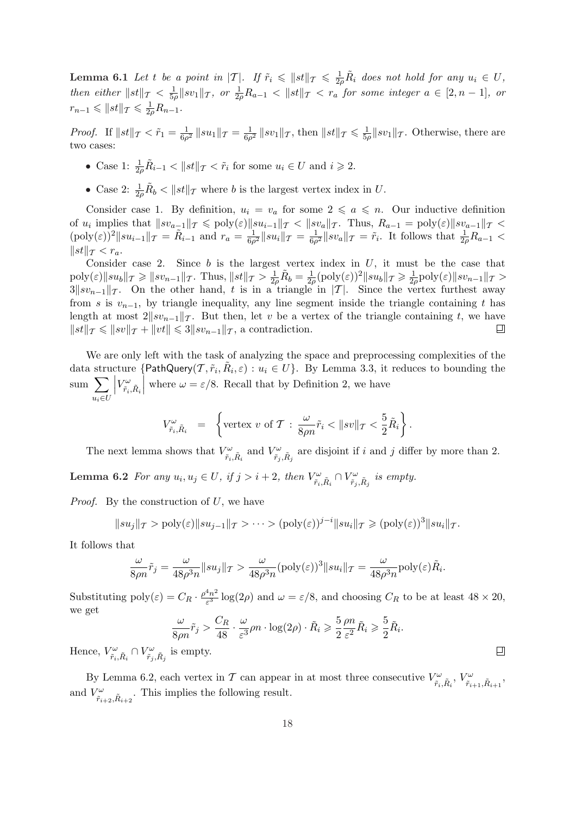**Lemma 6.1** Let t be a point in  $|T|$ . If  $\tilde{r}_i \leq ||st||_T \leq \frac{1}{2i}$  $\frac{1}{2\rho}R_i$  does not hold for any  $u_i \in U$ , then either  $||st||_{\mathcal{T}} < \frac{1}{5}$  $\frac{1}{5\rho} \| sv_1 \|_T$ , or  $\frac{1}{2\rho} R_{a-1} < \| st \|_T < r_a$  for some integer  $a \in [2, n-1]$ , or  $r_{n-1} \leqslant ||st||_{\mathcal{T}} \leqslant \frac{1}{2d}$  $\frac{1}{2\rho}R_{n-1}$ .

*Proof.* If  $||st||_T < \tilde{r}_1 = \frac{1}{6a}$  $\frac{1}{6\rho^2}\,\|su_1\|_T=\frac{1}{6\rho}$  $\frac{1}{6\rho^2}$   $\|sv_1\|_{\mathcal{T}}$ , then  $\|st\|_{\mathcal{T}} \leqslant \frac{1}{5\rho^2}$  $\frac{1}{5\rho}$ ||sv<sub>1</sub>|| $\tau$ . Otherwise, there are two cases:

- Case 1:  $\frac{1}{2\rho} \tilde{R}_{i-1} < ||st||_{\mathcal{T}} < \tilde{r}_i$  for some  $u_i \in U$  and  $i \geq 2$ .
- Case 2:  $\frac{1}{2\rho}\tilde{R}_b < ||st||_{\mathcal{T}}$  where b is the largest vertex index in U.

Consider case 1. By definition,  $u_i = v_a$  for some  $2 \leq a \leq n$ . Our inductive definition of  $u_i$  implies that  $||sv_{a-1}||_{\mathcal{T}} \leqslant \text{poly}(\varepsilon) ||su_{i-1}||_{\mathcal{T}} < ||sv_a||_{\mathcal{T}}$ . Thus,  $R_{a-1} = \text{poly}(\varepsilon) ||sv_{a-1}||_{\mathcal{T}} <$  $(\text{poly}(\varepsilon))^2 || su_{i-1} ||_T = \tilde{R}_{i-1}$  and  $r_a = \frac{1}{6a}$  $\frac{1}{6\rho^2}\|su_i\|_{\mathcal T}=\frac{1}{6\rho}$  $\frac{1}{6\rho^2} \|sv_a\|_{\mathcal{T}} = \tilde{r}_i$ . It follows that  $\frac{1}{2\rho}R_{a-1}$  $||st||_{\mathcal{T}} < r_a.$ 

Consider case 2. Since  $b$  is the largest vertex index in  $U$ , it must be the case that  $\frac{1}{2\rho}\tilde{R}_b = \frac{1}{2\rho}$  $\text{poly}(\varepsilon)\|su_b\|_{\mathcal{T}} \geqslant \|sv_{n-1}\|_{\mathcal{T}}$ . Thus,  $\|st\|_{\mathcal{T}} > \frac{1}{2\epsilon}$  $\frac{1}{2\rho}(\text{poly}(\varepsilon))^2\|su_b\|_{\mathcal{T}}\geqslant \frac{1}{2\rho}$  $\frac{1}{2\rho}$ poly $(\varepsilon)$ ||sv<sub>n−1</sub>|| $\tau >$  $3||sv_{n-1}||_{\mathcal{T}}$ . On the other hand, t is in a triangle in  $|\mathcal{T}|$ . Since the vertex furthest away from s is  $v_{n-1}$ , by triangle inequality, any line segment inside the triangle containing t has length at most  $2||sv_{n-1}||_{\mathcal{T}}$ . But then, let v be a vertex of the triangle containing t, we have  $\|st\|_{\mathcal{T}} \leqslant \|sv\|_{\mathcal{T}} + \|vt\| \leqslant 3\|sv_{n-1}\|_{\mathcal{T}}$ , a contradiction. ▣

We are only left with the task of analyzing the space and preprocessing complexities of the data structure  $\{\textsf{PathQuery}(\mathcal{T}, \tilde{r}_i, \tilde{R}_i, \varepsilon) : u_i \in U\}$ . By Lemma 3.3, it reduces to bounding the  $\frac{1}{\text{sum}}$  $u_i \in U$  $\left| V_{\tilde{r}_i,\tilde{R}_i}^{\omega} \right|$ where  $\omega = \varepsilon/8$ . Recall that by Definition 2, we have

$$
V_{\tilde{r}_i, \tilde{R}_i}^{\omega} = \left\{ \text{vertex } v \text{ of } \mathcal{T} : \frac{\omega}{8\rho n} \tilde{r}_i < ||sv||_{\mathcal{T}} < \frac{5}{2} \tilde{R}_i \right\}.
$$

The next lemma shows that  $V^{\omega}_{\tilde{r}_i, \tilde{R}_i}$  and  $V^{\omega}_{\tilde{r}_j, \tilde{R}_j}$  are disjoint if i and j differ by more than 2. Lemma 6.2 For any  $u_i, u_j \in U$ , if  $j > i + 2$ , then  $V_{\tilde{r}_i, \tilde{R}_i}^{\omega} \cap V_{\tilde{r}_j, \tilde{R}_j}^{\omega}$  is empty.

*Proof.* By the construction of  $U$ , we have

$$
||su_j||_{\mathcal{T}} > \text{poly}(\varepsilon) ||su_{j-1}||_{\mathcal{T}} > \cdots > (\text{poly}(\varepsilon))^{j-i} ||su_i||_{\mathcal{T}} \geq (\text{poly}(\varepsilon))^3 ||su_i||_{\mathcal{T}}.
$$

It follows that

$$
\frac{\omega}{8\rho n}\tilde{r}_j = \frac{\omega}{48\rho^3 n} \|su_j\|_{\mathcal{T}} > \frac{\omega}{48\rho^3 n} (\text{poly}(\varepsilon))^3 \|su_i\|_{\mathcal{T}} = \frac{\omega}{48\rho^3 n} \text{poly}(\varepsilon)\tilde{R}_i.
$$

Substituting  $\text{poly}(\varepsilon) = C_R \cdot \frac{\rho^4 n^2}{\varepsilon^3}$  $\frac{m^2}{\varepsilon^3}$  log(2 $\rho$ ) and  $\omega = \varepsilon/8$ , and choosing  $C_R$  to be at least  $48 \times 20$ , we get

$$
\frac{\omega}{8\rho n}\tilde{r}_j > \frac{C_R}{48} \cdot \frac{\omega}{\varepsilon^3}\rho n \cdot \log(2\rho) \cdot \tilde{R}_i \ge \frac{5}{2}\frac{\rho n}{\varepsilon^2}\tilde{R}_i \ge \frac{5}{2}\tilde{R}_i.
$$

Hence,  $V_{\tilde{r}_i, \tilde{R}_i}^{\omega} \cap V_{\tilde{r}_j, \tilde{R}_j}^{\omega}$  is empty.

By Lemma 6.2, each vertex in  $T$  can appear in at most three consecutive  $V_{\tilde{r}_i,\tilde{R}_i}^{\omega}$ ,  $V_{\tilde{r}_{i+1},\tilde{R}_{i+1}}^{\omega}$ , and  $V^{\omega}_{\tilde{r}_{i+2}, \tilde{R}_{i+2}}$ . This implies the following result.

 $\Box$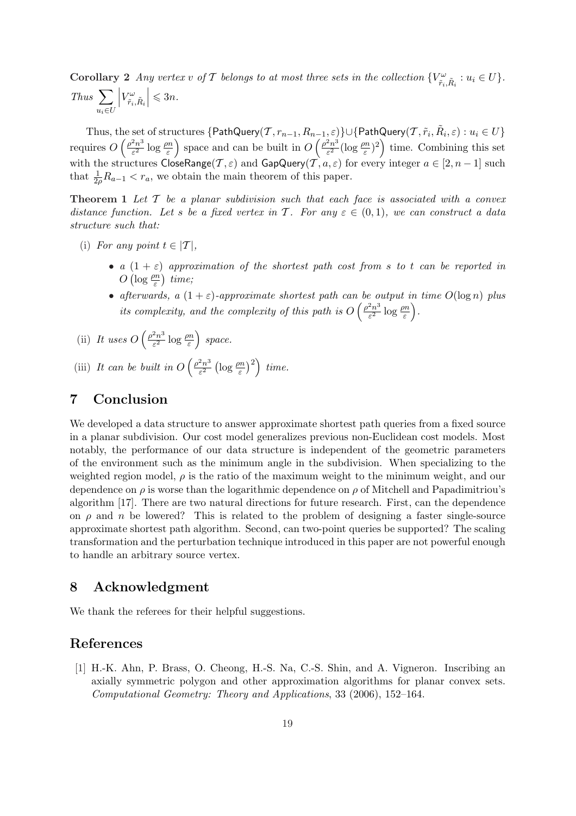**Corollary 2** Any vertex v of T belongs to at most three sets in the collection  $\{V_{\tilde{r}_i,\tilde{R}_i}^{\omega}: u_i \in U\}$ .  $Thus \sum$  $u_i \in U$  $\left| V_{\tilde{r}_i,\tilde{R}_i}^{\omega} \right|$  $\vert \leqslant 3n$ .

Thus, the set of structures  $\{\mathsf{PathQuery}(\mathcal{T},r_{n-1},R_{n-1},\varepsilon)\}\cup\{\mathsf{PathQuery}(\mathcal{T},\tilde{r}_i,\tilde{R}_i,\varepsilon):u_i\in U\}$ requires O ne set $\int \rho^2 n^3$  $\frac{2n^3}{\varepsilon^2}\log\frac{\rho n}{\varepsilon}$ ic<br>` space and can be built in O  $\frac{(-1, \varepsilon)}{\sqrt{\rho^2 n^3}}$  $\frac{2n^3}{\varepsilon^2}(\log \frac{\rho n}{\varepsilon})^2$ time. Combining this set with the structures CloseRange( $\mathcal{T}, \varepsilon$ ) and GapQuery( $\mathcal{T}, a, \varepsilon$ ) for every integer  $a \in [2, n-1]$  such that  $\frac{1}{2\rho}R_{a-1} < r_a$ , we obtain the main theorem of this paper.

**Theorem 1** Let  $T$  be a planar subdivision such that each face is associated with a convex distance function. Let s be a fixed vertex in T. For any  $\varepsilon \in (0,1)$ , we can construct a data structure such that:

- (i) For any point  $t \in |T|$ ,
	- a  $(1 + \varepsilon)$  approximation of the shortest path cost from s to t can be reported in  $O\left(\log \frac{\rho n}{\varepsilon}\right)$  time;
	- afterwards, a  $(1 + \varepsilon)$ -approximate shortest path can be output in time  $O(\log n)$  plus its complexity, and the complexity of this path is  $O\left(\frac{\rho^2 n^3}{\epsilon^2}\right)$  $\frac{2n^3}{\varepsilon^2} \log \frac{\rho n}{\varepsilon} \Big).$
- (ii) It uses O  $\int \rho^2 n^3$  $\frac{2n^3}{\varepsilon^2} \log \frac{\rho n}{\varepsilon}$ ´ space.

(iii) It can be built in  $O$  $\int \rho^2 n^3$ ε 2  $\left(\log \frac{\rho n}{\varepsilon}\right)$  $\langle$ <sup>2</sup> time.

# 7 Conclusion

We developed a data structure to answer approximate shortest path queries from a fixed source in a planar subdivision. Our cost model generalizes previous non-Euclidean cost models. Most notably, the performance of our data structure is independent of the geometric parameters of the environment such as the minimum angle in the subdivision. When specializing to the weighted region model,  $\rho$  is the ratio of the maximum weight to the minimum weight, and our dependence on  $\rho$  is worse than the logarithmic dependence on  $\rho$  of Mitchell and Papadimitriou's algorithm [17]. There are two natural directions for future research. First, can the dependence on  $\rho$  and n be lowered? This is related to the problem of designing a faster single-source approximate shortest path algorithm. Second, can two-point queries be supported? The scaling transformation and the perturbation technique introduced in this paper are not powerful enough to handle an arbitrary source vertex.

### 8 Acknowledgment

We thank the referees for their helpful suggestions.

# References

[1] H.-K. Ahn, P. Brass, O. Cheong, H.-S. Na, C.-S. Shin, and A. Vigneron. Inscribing an axially symmetric polygon and other approximation algorithms for planar convex sets. Computational Geometry: Theory and Applications, 33 (2006), 152–164.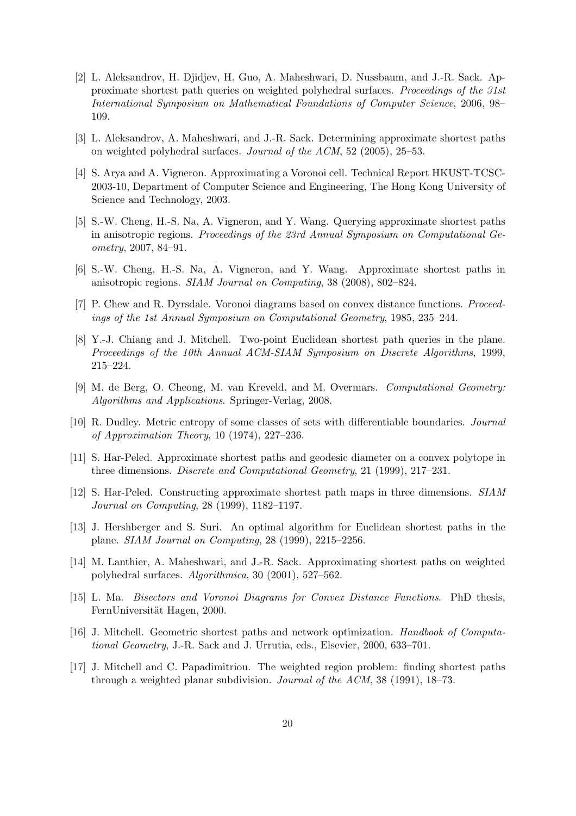- [2] L. Aleksandrov, H. Djidjev, H. Guo, A. Maheshwari, D. Nussbaum, and J.-R. Sack. Approximate shortest path queries on weighted polyhedral surfaces. Proceedings of the 31st International Symposium on Mathematical Foundations of Computer Science, 2006, 98– 109.
- [3] L. Aleksandrov, A. Maheshwari, and J.-R. Sack. Determining approximate shortest paths on weighted polyhedral surfaces. Journal of the ACM, 52 (2005), 25–53.
- [4] S. Arya and A. Vigneron. Approximating a Voronoi cell. Technical Report HKUST-TCSC-2003-10, Department of Computer Science and Engineering, The Hong Kong University of Science and Technology, 2003.
- [5] S.-W. Cheng, H.-S. Na, A. Vigneron, and Y. Wang. Querying approximate shortest paths in anisotropic regions. Proceedings of the 23rd Annual Symposium on Computational Geometry, 2007, 84–91.
- [6] S.-W. Cheng, H.-S. Na, A. Vigneron, and Y. Wang. Approximate shortest paths in anisotropic regions. SIAM Journal on Computing, 38 (2008), 802–824.
- [7] P. Chew and R. Dyrsdale. Voronoi diagrams based on convex distance functions. Proceedings of the 1st Annual Symposium on Computational Geometry, 1985, 235–244.
- [8] Y.-J. Chiang and J. Mitchell. Two-point Euclidean shortest path queries in the plane. Proceedings of the 10th Annual ACM-SIAM Symposium on Discrete Algorithms, 1999, 215–224.
- [9] M. de Berg, O. Cheong, M. van Kreveld, and M. Overmars. Computational Geometry: Algorithms and Applications. Springer-Verlag, 2008.
- [10] R. Dudley. Metric entropy of some classes of sets with differentiable boundaries. Journal of Approximation Theory, 10 (1974), 227–236.
- [11] S. Har-Peled. Approximate shortest paths and geodesic diameter on a convex polytope in three dimensions. Discrete and Computational Geometry, 21 (1999), 217–231.
- [12] S. Har-Peled. Constructing approximate shortest path maps in three dimensions. SIAM Journal on Computing, 28 (1999), 1182–1197.
- [13] J. Hershberger and S. Suri. An optimal algorithm for Euclidean shortest paths in the plane. SIAM Journal on Computing, 28 (1999), 2215–2256.
- [14] M. Lanthier, A. Maheshwari, and J.-R. Sack. Approximating shortest paths on weighted polyhedral surfaces. Algorithmica, 30 (2001), 527–562.
- [15] L. Ma. Bisectors and Voronoi Diagrams for Convex Distance Functions. PhD thesis, FernUniversität Hagen, 2000.
- [16] J. Mitchell. Geometric shortest paths and network optimization. Handbook of Computational Geometry, J.-R. Sack and J. Urrutia, eds., Elsevier, 2000, 633–701.
- [17] J. Mitchell and C. Papadimitriou. The weighted region problem: finding shortest paths through a weighted planar subdivision. Journal of the ACM, 38 (1991), 18–73.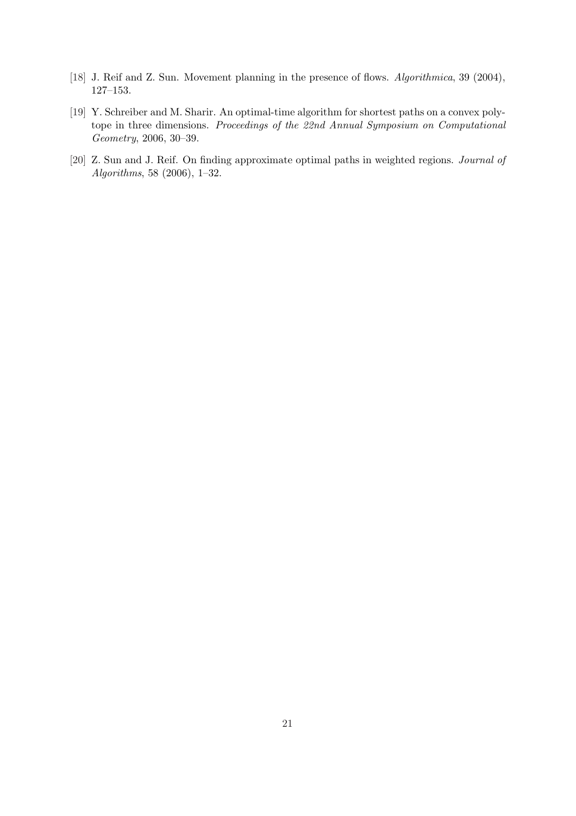- [18] J. Reif and Z. Sun. Movement planning in the presence of flows. Algorithmica, 39 (2004), 127–153.
- [19] Y. Schreiber and M. Sharir. An optimal-time algorithm for shortest paths on a convex polytope in three dimensions. Proceedings of the 22nd Annual Symposium on Computational Geometry, 2006, 30–39.
- [20] Z. Sun and J. Reif. On finding approximate optimal paths in weighted regions. Journal of Algorithms, 58 (2006), 1–32.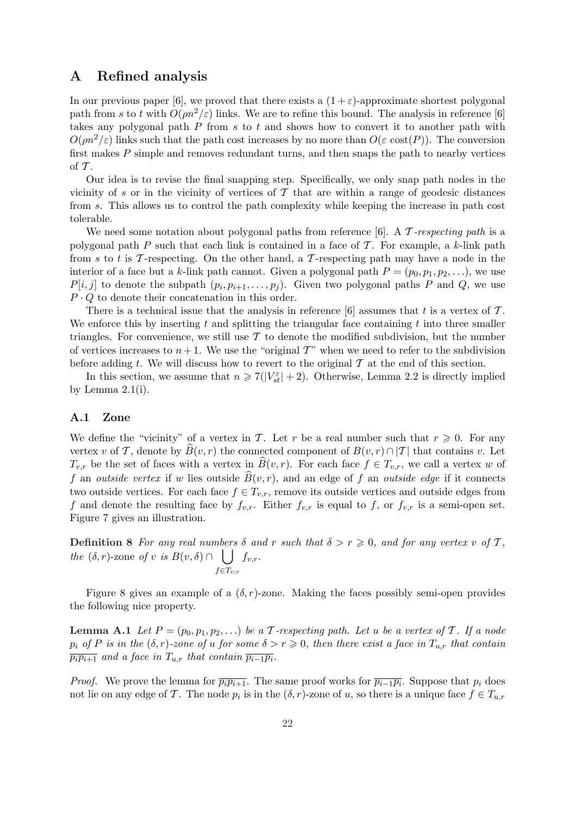## A Refined analysis

In our previous paper [6], we proved that there exists a  $(1 + \varepsilon)$ -approximate shortest polygonal path from s to t with  $O(\rho n^2/\varepsilon)$  links. We are to refine this bound. The analysis in reference [6] takes any polygonal path  $P$  from  $s$  to  $t$  and shows how to convert it to another path with  $O(\rho n^2/\varepsilon)$  links such that the path cost increases by no more than  $O(\varepsilon \cos(P))$ . The conversion first makes  $P$  simple and removes redundant turns, and then snaps the path to nearby vertices of  $\mathcal T$ .

Our idea is to revise the final snapping step. Specifically, we only snap path nodes in the vicinity of s or in the vicinity of vertices of  $\mathcal T$  that are within a range of geodesic distances from s. This allows us to control the path complexity while keeping the increase in path cost tolerable.

We need some notation about polygonal paths from reference [6]. A  $\mathcal T$ -respecting path is a polygonal path  $P$  such that each link is contained in a face of  $T$ . For example, a k-link path from s to t is T-respecting. On the other hand, a T-respecting path may have a node in the interior of a face but a k-link path cannot. Given a polygonal path  $P = (p_0, p_1, p_2, \ldots)$ , we use  $P[i, j]$  to denote the subpath  $(p_i, p_{i+1}, \ldots, p_j)$ . Given two polygonal paths P and Q, we use  $P \cdot Q$  to denote their concatenation in this order.

There is a technical issue that the analysis in reference  $[6]$  assumes that t is a vertex of T. We enforce this by inserting t and splitting the triangular face containing t into three smaller triangles. For convenience, we still use  $T$  to denote the modified subdivision, but the number of vertices increases to  $n+1$ . We use the "original T" when we need to refer to the subdivision before adding t. We will discuss how to revert to the original  $\mathcal T$  at the end of this section.

In this section, we assume that  $n \geq 7(|V_{st}^{\epsilon}| + 2)$ . Otherwise, Lemma 2.2 is directly implied by Lemma  $2.1(i)$ .

### A.1 Zone

We define the "vicinity" of a vertex in T. Let r be a real number such that  $r \geq 0$ . For any vertex v of T, denote by  $\widehat{B}(v, r)$  the connected component of  $B(v, r) \cap |T|$  that contains v. Let  $T_{v,r}$  be the set of faces with a vertex in  $\widehat{B}(v,r)$ . For each face  $f \in T_{v,r}$ , we call a vertex w of f an *outside vertex* if w lies outside  $\widehat{B}(v, r)$ , and an edge of f an *outside edge* if it connects two outside vertices. For each face  $f \in T_{v,r}$ , remove its outside vertices and outside edges from f and denote the resulting face by  $f_{v,r}$ . Either  $f_{v,r}$  is equal to f, or  $f_{v,r}$  is a semi-open set. Figure 7 gives an illustration.

**Definition 8** For any real numbers  $\delta$  and  $r$  such that  $\delta > r \geq 0$ , and for any vertex  $v$  of  $\mathcal{T}$ , the  $(\delta, r)$ -zone of v is  $B(v, \delta) \cap$  $f \in T_{v,r}$  $f_{v,r}$ .

Figure 8 gives an example of a  $(\delta, r)$ -zone. Making the faces possibly semi-open provides the following nice property.

**Lemma A.1** Let  $P = (p_0, p_1, p_2, ...)$  be a T-respecting path. Let u be a vertex of T. If a node  $p_i$  of P is in the  $(\delta, r)$ -zone of u for some  $\delta > r \geq 0$ , then there exist a face in  $T_{u,r}$  that contain  $\overline{p_i p_{i+1}}$  and a face in  $T_{u,r}$  that contain  $\overline{p_{i-1} p_i}$ .

*Proof.* We prove the lemma for  $\overline{p_i p_{i+1}}$ . The same proof works for  $\overline{p_{i-1} p_i}$ . Suppose that  $p_i$  does not lie on any edge of T. The node  $p_i$  is in the  $(\delta, r)$ -zone of u, so there is a unique face  $f \in T_{u,r}$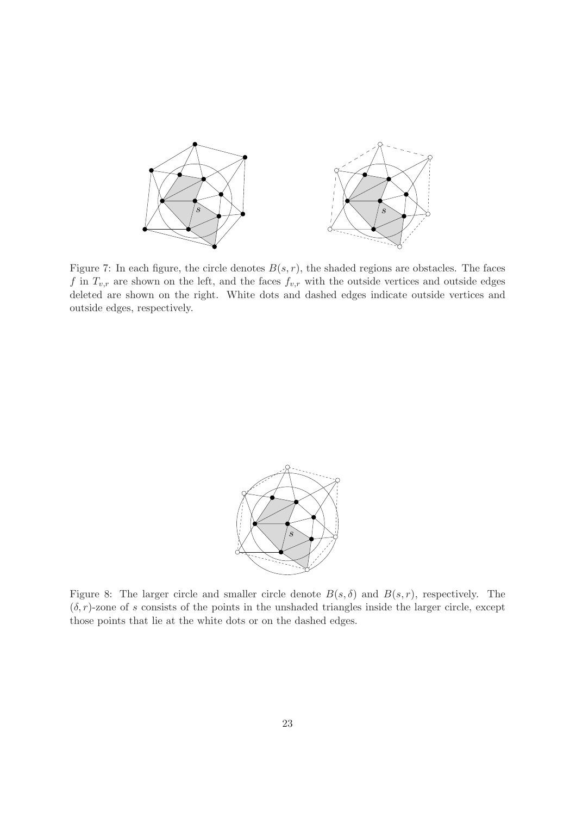

Figure 7: In each figure, the circle denotes  $B(s, r)$ , the shaded regions are obstacles. The faces f in  $T_{v,r}$  are shown on the left, and the faces  $f_{v,r}$  with the outside vertices and outside edges deleted are shown on the right. White dots and dashed edges indicate outside vertices and outside edges, respectively.



Figure 8: The larger circle and smaller circle denote  $B(s, \delta)$  and  $B(s, r)$ , respectively. The  $(\delta, r)$ -zone of s consists of the points in the unshaded triangles inside the larger circle, except those points that lie at the white dots or on the dashed edges.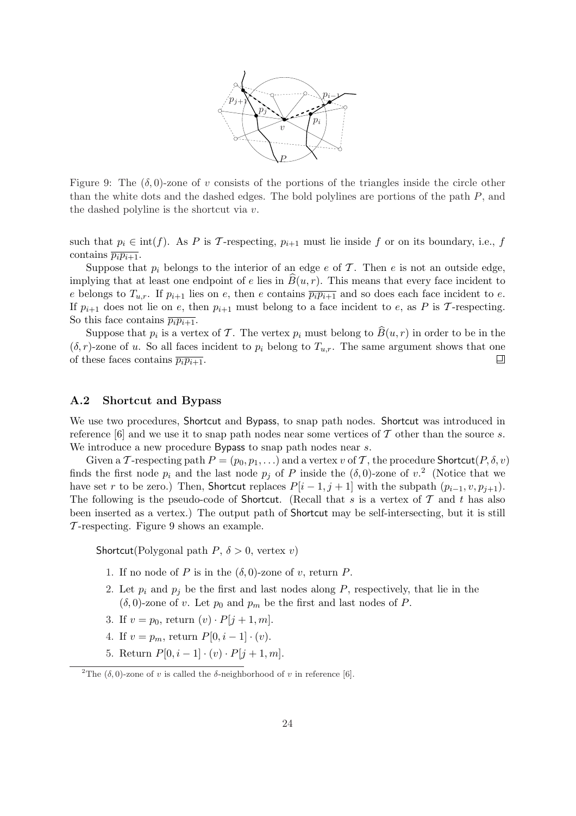

Figure 9: The  $(\delta, 0)$ -zone of v consists of the portions of the triangles inside the circle other than the white dots and the dashed edges. The bold polylines are portions of the path P, and the dashed polyline is the shortcut via v.

such that  $p_i \in \text{int}(f)$ . As P is T-respecting,  $p_{i+1}$  must lie inside f or on its boundary, i.e., f contains  $\overline{p_i p_{i+1}}$ .

Suppose that  $p_i$  belongs to the interior of an edge e of T. Then e is not an outside edge, implying that at least one endpoint of e lies in  $B(u, r)$ . This means that every face incident to e belongs to  $T_{u,r}$ . If  $p_{i+1}$  lies on e, then e contains  $\overline{p_ip_{i+1}}$  and so does each face incident to e. If  $p_{i+1}$  does not lie on e, then  $p_{i+1}$  must belong to a face incident to e, as P is T-respecting. So this face contains  $\overline{p_i p_{i+1}}$ .

Suppose that  $p_i$  is a vertex of T. The vertex  $p_i$  must belong to  $\widehat{B}(u, r)$  in order to be in the  $(\delta, r)$ -zone of u. So all faces incident to  $p_i$  belong to  $T_{u,r}$ . The same argument shows that one of these faces contains  $\overline{p_i p_{i+1}}$ . 囙

### A.2 Shortcut and Bypass

We use two procedures, Shortcut and Bypass, to snap path nodes. Shortcut was introduced in reference [6] and we use it to snap path nodes near some vertices of  $\mathcal T$  other than the source s. We introduce a new procedure Bypass to snap path nodes near s.

Given a T-respecting path  $P = (p_0, p_1, \ldots)$  and a vertex v of T, the procedure Shortcut $(P, \delta, v)$ finds the first node  $p_i$  and the last node  $p_j$  of P inside the  $(\delta, 0)$ -zone of  $v^2$ . (Notice that we have set r to be zero.) Then, Shortcut replaces  $P[i-1, j+1]$  with the subpath  $(p_{i-1}, v, p_{i+1})$ . The following is the pseudo-code of Shortcut. (Recall that s is a vertex of  $\mathcal T$  and t has also been inserted as a vertex.) The output path of Shortcut may be self-intersecting, but it is still T -respecting. Figure 9 shows an example.

Shortcut(Polygonal path  $P, \delta > 0$ , vertex v)

- 1. If no node of P is in the  $(\delta, 0)$ -zone of v, return P.
- 2. Let  $p_i$  and  $p_j$  be the first and last nodes along P, respectively, that lie in the  $(\delta, 0)$ -zone of v. Let  $p_0$  and  $p_m$  be the first and last nodes of P.
- 3. If  $v = p_0$ , return  $(v) \cdot P[j + 1, m]$ .
- 4. If  $v = p_m$ , return  $P[0, i 1] \cdot (v)$ .
- 5. Return  $P[0, i 1] \cdot (v) \cdot P[j + 1, m].$

<sup>&</sup>lt;sup>2</sup>The (δ, 0)-zone of v is called the δ-neighborhood of v in reference [6].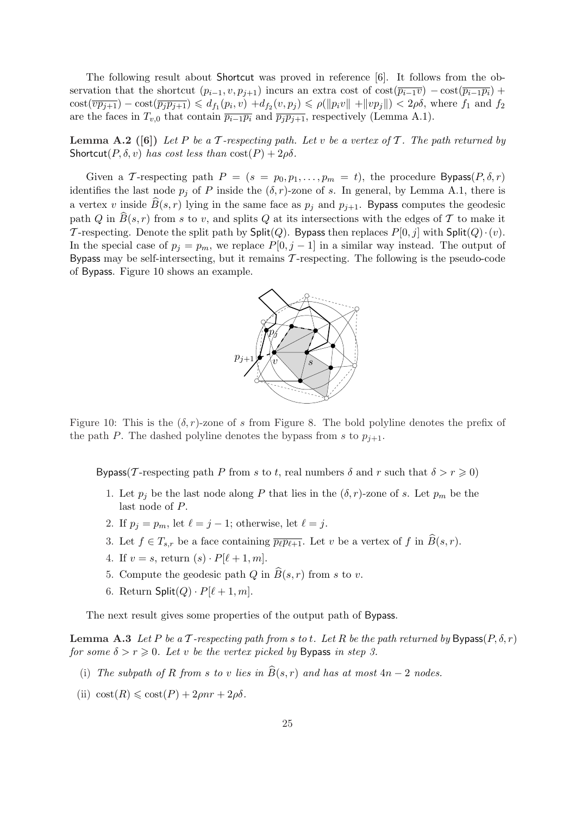The following result about Shortcut was proved in reference [6]. It follows from the observation that the shortcut  $(p_{i-1}, v, p_{j+1})$  incurs an extra cost of cost $(\overline{p_{i-1}v}) - \text{cost}(\overline{p_{i-1}p_i}) +$  $\text{cost}(\overline{vp_{j+1}}) - \text{cost}(\overline{p_jp_{j+1}}) \leq d_{f_1}(p_i, v) + d_{f_2}(v, p_j) \leq \rho(||p_i v|| + ||vp_j||) < 2\rho\delta$ , where  $f_1$  and  $f_2$ are the faces in  $T_{v,0}$  that contain  $\overline{p_{i-1}p_i}$  and  $\overline{p_jp_{j+1}}$ , respectively (Lemma A.1).

**Lemma A.2** ([6]) Let P be a T-respecting path. Let v be a vertex of T. The path returned by Shortcut( $P, \delta, v$ ) has cost less than  $cost(P) + 2\rho\delta$ .

Given a T-respecting path  $P = (s = p_0, p_1, \ldots, p_m = t)$ , the procedure Bypass $(P, \delta, r)$ identifies the last node  $p_j$  of P inside the  $(\delta, r)$ -zone of s. In general, by Lemma A.1, there is a vertex v inside  $\widehat{B}(s, r)$  lying in the same face as  $p_j$  and  $p_{j+1}$ . Bypass computes the geodesic path Q in  $\widehat{B}(s, r)$  from s to v, and splits Q at its intersections with the edges of T to make it T-respecting. Denote the split path by Split(Q). Bypass then replaces  $P[0, j]$  with Split(Q) $\cdot(v)$ . In the special case of  $p_j = p_m$ , we replace  $P[0, j - 1]$  in a similar way instead. The output of Bypass may be self-intersecting, but it remains  $\mathcal T$ -respecting. The following is the pseudo-code of Bypass. Figure 10 shows an example.



Figure 10: This is the  $(\delta, r)$ -zone of s from Figure 8. The bold polyline denotes the prefix of the path P. The dashed polyline denotes the bypass from s to  $p_{j+1}$ .

Bypass(T-respecting path P from s to t, real numbers  $\delta$  and r such that  $\delta > r \geq 0$ )

- 1. Let  $p_i$  be the last node along P that lies in the  $(\delta, r)$ -zone of s. Let  $p_m$  be the last node of P.
- 2. If  $p_j = p_m$ , let  $\ell = j 1$ ; otherwise, let  $\ell = j$ .
- 3. Let  $f \in T_{s,r}$  be a face containing  $\overline{p_{\ell}p_{\ell+1}}$ . Let v be a vertex of f in  $\widehat{B}(s,r)$ .
- 4. If  $v = s$ , return  $(s) \cdot P[\ell + 1, m]$ .
- 5. Compute the geodesic path Q in  $\widehat{B}(s, r)$  from s to v.
- 6. Return  $\text{Split}(Q) \cdot P[\ell + 1, m].$

The next result gives some properties of the output path of Bypass.

**Lemma A.3** Let P be a T-respecting path from s to t. Let R be the path returned by Bypass $(P, \delta, r)$ for some  $\delta > r \geqslant 0$ . Let v be the vertex picked by Bypass in step 3.

- (i) The subpath of R from s to v lies in  $\widehat{B}(s, r)$  and has at most  $4n 2$  nodes.
- (ii)  $\text{cost}(R) \leq \text{cost}(P) + 2\rho nr + 2\rho \delta$ .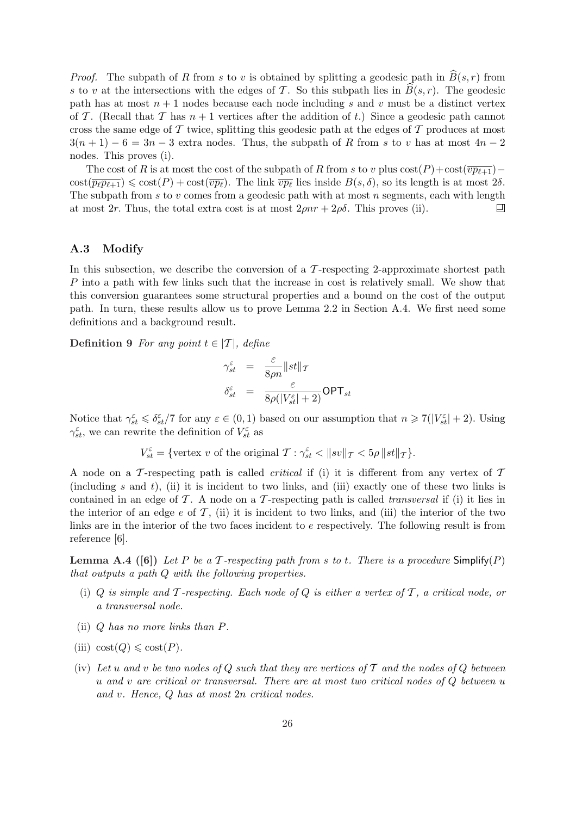*Proof.* The subpath of R from s to v is obtained by splitting a geodesic path in  $\widehat{B}(s, r)$  from s to v at the intersections with the edges of T. So this subpath lies in  $B(s, r)$ . The geodesic path has at most  $n + 1$  nodes because each node including s and v must be a distinct vertex of T. (Recall that T has  $n+1$  vertices after the addition of t.) Since a geodesic path cannot cross the same edge of  $\mathcal T$  twice, splitting this geodesic path at the edges of  $\mathcal T$  produces at most  $3(n+1)-6=3n-3$  extra nodes. Thus, the subpath of R from s to v has at most  $4n-2$ nodes. This proves (i).

The cost of R is at most the cost of the subpath of R from s to v plus  $cost(P) + cost(\overline{vp_{\ell+1}}) \text{cost}(\overline{p_{\ell}p_{\ell+1}}) \leqslant \text{cost}(P) + \text{cost}(\overline{vp_{\ell}})$ . The link  $\overline{vp_{\ell}}$  lies inside  $B(s, \delta)$ , so its length is at most  $2\delta$ . The subpath from  $s$  to  $v$  comes from a geodesic path with at most  $n$  segments, each with length at most 2r. Thus, the total extra cost is at most  $2\rho nr + 2\rho\delta$ . This proves (ii). 口

### A.3 Modify

In this subsection, we describe the conversion of a  $\mathcal T$ -respecting 2-approximate shortest path P into a path with few links such that the increase in cost is relatively small. We show that this conversion guarantees some structural properties and a bound on the cost of the output path. In turn, these results allow us to prove Lemma 2.2 in Section A.4. We first need some definitions and a background result.

Definition 9 For any point  $t \in |T|$ , define

$$
\gamma_{st}^{\varepsilon} = \frac{\varepsilon}{8\rho n} ||st||_{\mathcal{T}}
$$

$$
\delta_{st}^{\varepsilon} = \frac{\varepsilon}{8\rho (|V_{st}^{\varepsilon}| + 2)} \textsf{OPT}_{st}
$$

Notice that  $\gamma_{st}^{\varepsilon} \leq \delta_{st}^{\varepsilon}/7$  for any  $\varepsilon \in (0,1)$  based on our assumption that  $n \geq 7(|V_{st}^{\varepsilon}| + 2)$ . Using  $\gamma_{st}^{\varepsilon}$ , we can rewrite the definition of  $V_{st}^{\varepsilon}$  as

$$
V_{st}^{\varepsilon} = \{ \text{vertex } v \text{ of the original } \mathcal{T} : \gamma_{st}^{\varepsilon} < \|sv\|_{\mathcal{T}} < 5\rho \, \|st\|_{\mathcal{T}} \}.
$$

A node on a T-respecting path is called *critical* if (i) it is different from any vertex of  $T$ (including s and t), (ii) it is incident to two links, and (iii) exactly one of these two links is contained in an edge of  $\mathcal T$ . A node on a  $\mathcal T$ -respecting path is called *transversal* if (i) it lies in the interior of an edge e of  $\mathcal{T}$ , (ii) it is incident to two links, and (iii) the interior of the two links are in the interior of the two faces incident to e respectively. The following result is from reference [6].

**Lemma A.4** ([6]) Let P be a T-respecting path from s to t. There is a procedure  $Simplify(P)$ that outputs a path Q with the following properties.

- (i) Q is simple and T-respecting. Each node of Q is either a vertex of T, a critical node, or a transversal node.
- (ii) Q has no more links than P.
- (iii)  $\text{cost}(Q) \leq \text{cost}(P)$ .
- (iv) Let u and v be two nodes of Q such that they are vertices of  $\mathcal T$  and the nodes of Q between u and v are critical or transversal. There are at most two critical nodes of  $Q$  between u and v. Hence, Q has at most 2n critical nodes.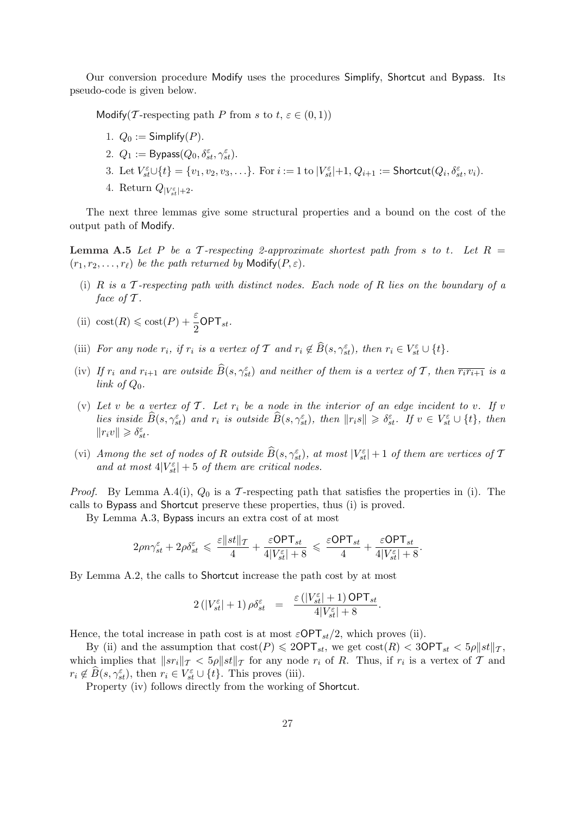Our conversion procedure Modify uses the procedures Simplify, Shortcut and Bypass. Its pseudo-code is given below.

Modify(T-respecting path P from s to  $t, \varepsilon \in (0,1)$ )

- 1.  $Q_0 :=$  Simplify  $(P)$ .
- 2.  $Q_1 := \mathsf{Bypass}(Q_0, \delta_{st}^{\varepsilon}, \gamma_{st}^{\varepsilon}).$
- 3. Let  $V_{st}^{\varepsilon}\cup\{t\}=\{v_1,v_2,v_3,\ldots\}$ . For  $i:=1$  to  $|V_{st}^{\varepsilon}|+1, Q_{i+1}:=$  Shortcut $(Q_i,\delta_{st}^{\varepsilon},v_i)$ .
- 4. Return  $Q_{|V_{st}^{\varepsilon}|+2}$ .

The next three lemmas give some structural properties and a bound on the cost of the output path of Modify.

**Lemma A.5** Let P be a T-respecting 2-approximate shortest path from s to t. Let  $R =$  $(r_1, r_2, \ldots, r_\ell)$  be the path returned by Modify(P,  $\varepsilon$ ).

(i) R is a  $\mathcal T$ -respecting path with distinct nodes. Each node of R lies on the boundary of a face of  $\mathcal T$ .

(ii) 
$$
\text{cost}(R) \leq \text{cost}(P) + \frac{\varepsilon}{2} \mathsf{OPT}_{st}
$$
.

- (iii) For any node  $r_i$ , if  $r_i$  is a vertex of T and  $r_i \notin \widehat{B}(s, \gamma_{st}^{\varepsilon})$ , then  $r_i \in V_{st}^{\varepsilon} \cup \{t\}$ .
- (iv) If  $r_i$  and  $r_{i+1}$  are outside  $\widehat{B}(s, \gamma_{st}^{\varepsilon})$  and neither of them is a vertex of T, then  $\overline{r_ir_{i+1}}$  is a link of  $Q_0$ .
- (v) Let v be a vertex of T. Let  $r_i$  be a node in the interior of an edge incident to v. If v lies inside  $\widehat{B}(s, \gamma_{st}^{\varepsilon})$  and  $r_i$  is outside  $\widehat{B}(s, \gamma_{st}^{\varepsilon})$ , then  $||r_is|| \geq \delta_{st}^{\varepsilon}$ . If  $v \in V_{st}^{\varepsilon} \cup \{t\}$ , then  $\label{eq:2.1} \left\| r_i v \right\| \geqslant \delta_{st}^\varepsilon.$
- (vi) Among the set of nodes of R outside  $\widehat{B}(s, \gamma^\varepsilon_{st})$ , at most  $|V^\varepsilon_{st}| + 1$  of them are vertices of T and at most  $4|V_{st}^{\varepsilon}| + 5$  of them are critical nodes.

*Proof.* By Lemma A.4(i),  $Q_0$  is a T-respecting path that satisfies the properties in (i). The calls to Bypass and Shortcut preserve these properties, thus (i) is proved.

By Lemma A.3, Bypass incurs an extra cost of at most

$$
2\rho n \gamma_{st}^\varepsilon + 2\rho \delta_{st}^\varepsilon \, \leqslant \, \frac{\varepsilon\|st\|\tau}{4} + \frac{\varepsilon\mathsf{OPT}_{st}}{4|V_{st}^\varepsilon|+8} \, \leqslant \, \frac{\varepsilon\mathsf{OPT}_{st}}{4} + \frac{\varepsilon\mathsf{OPT}_{st}}{4|V_{st}^\varepsilon|+8}.
$$

By Lemma A.2, the calls to Shortcut increase the path cost by at most

$$
2\left(|V_{st}^{\varepsilon}|+1\right)\rho\delta_{st}^{\varepsilon} \quad = \quad \frac{\varepsilon\left(|V_{st}^{\varepsilon}|+1\right)\mathsf{OPT}_{st}}{4|V_{st}^{\varepsilon}|+8}.
$$

Hence, the total increase in path cost is at most  $\varepsilon$ OPT<sub>st</sub>/2, which proves (ii).

By (ii) and the assumption that  $cost(P) \leq 2OPT_{st}$ , we get  $cost(R) < 3OPT_{st} < 5\rho ||st||_T$ , which implies that  $||sr_i||_T < 5\rho ||st||_T$  for any node  $r_i$  of R. Thus, if  $r_i$  is a vertex of T and  $r_i \notin \widehat{B}(s, \gamma_{st}^{\varepsilon}),$  then  $r_i \in V_{st}^{\varepsilon} \cup \{t\}.$  This proves (iii).

Property (iv) follows directly from the working of Shortcut.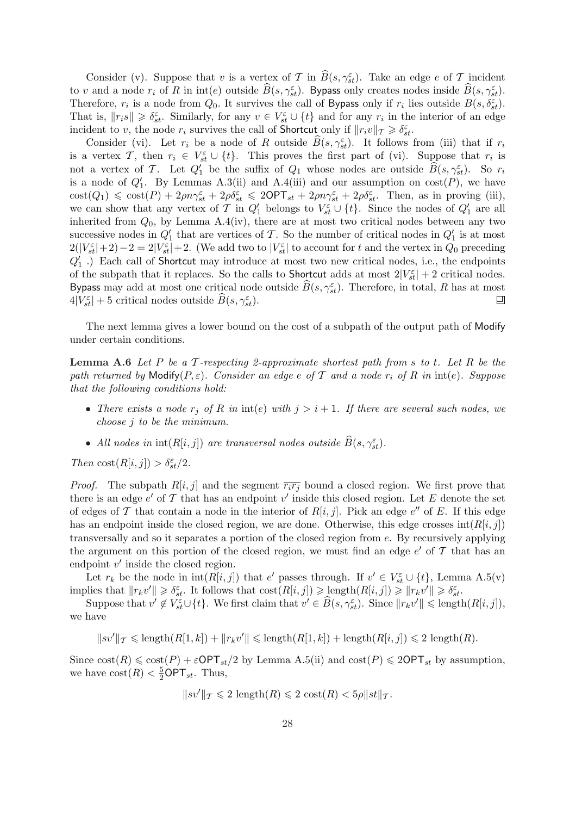Consider (v). Suppose that v is a vertex of T in  $\widehat{B}(s, \gamma_{st}^{\varepsilon})$ . Take an edge e of T incident to v and a node  $r_i$  of R in int(e) outside  $\widehat{B}(s, \gamma_{st}^{\varepsilon})$ . By pass only creates nodes inside  $\widehat{B}(s, \gamma_{st}^{\varepsilon})$ . Therefore,  $r_i$  is a node from  $Q_0$ . It survives the call of Bypass only if  $r_i$  lies outside  $B(s, \delta_{st}^{\varepsilon})$ . That is,  $||r_i s|| \geq \delta_{st}^{\varepsilon}$ . Similarly, for any  $v \in V_{st}^{\varepsilon} \cup \{t\}$  and for any  $r_i$  in the interior of an edge incident to v, the node  $r_i$  survives the call of Shortcut only if  $||r_i v||_T \geq \delta_{st}^{\varepsilon}$ .

Consider (vi). Let  $r_i$  be a node of R outside  $\widehat{B}(s, \gamma_{st}^{\varepsilon})$ . It follows from (iii) that if  $r_i$ is a vertex T, then  $r_i \in V_{st}^{\varepsilon} \cup \{t\}$ . This proves the first part of (vi). Suppose that  $r_i$  is not a vertex of T. Let  $Q_1'$  be the suffix of  $Q_1$  whose nodes are outside  $\widehat{B}(s, \gamma_{st}^{\varepsilon})$ . So  $r_i$ is a node of  $Q'_1$ . By Lemmas A.3(ii) and A.4(iii) and our assumption on  $cost(P)$ , we have  $\text{cost}(Q_1) \leq \text{cost}(P) + 2\rho n \gamma_{st}^{\varepsilon} + 2\rho \delta_{st}^{\varepsilon} \leq 2\text{OPT}_{st} + 2\rho n \gamma_{st}^{\varepsilon} + 2\rho \delta_{st}^{\varepsilon}$ . Then, as in proving (iii), we can show that any vertex of T in  $Q'_1$  belongs to  $V_{st}^{\varepsilon} \cup \{t\}$ . Since the nodes of  $Q'_1$  are all inherited from  $Q_0$ , by Lemma A.4(iv), there are at most two critical nodes between any two successive nodes in  $Q'_1$  that are vertices of T. So the number of critical nodes in  $Q'_1$  is at most  $2(|V_{st}^{\varepsilon}|+2)-2=2|V_{st}^{\varepsilon}|+2.$  (We add two to  $|V_{st}^{\varepsilon}|$  to account for t and the vertex in  $Q_0$  preceding  $Q'_1$ .) Each call of Shortcut may introduce at most two new critical nodes, i.e., the endpoints of the subpath that it replaces. So the calls to Shortcut adds at most  $2|V_{st}^{\varepsilon}| + 2$  critical nodes. Bypass may add at most one critical node outside  $\widehat{B}(s, \gamma_{st}^{\varepsilon})$ . Therefore, in total, R has at most  $4|V_{st}^{\varepsilon}| + 5$  critical nodes outside  $\widehat{B}(s, \gamma_{st}^{\varepsilon}).$ 口

The next lemma gives a lower bound on the cost of a subpath of the output path of Modify under certain conditions.

**Lemma A.6** Let P be a T-respecting 2-approximate shortest path from s to t. Let R be the path returned by Modify( $P, \varepsilon$ ). Consider an edge e of T and a node  $r_i$  of R in int(e). Suppose that the following conditions hold:

- There exists a node  $r_j$  of R in int(e) with  $j > i + 1$ . If there are several such nodes, we choose j to be the minimum.
- All nodes in  $\text{int}(R[i,j])$  are transversal nodes outside  $\widehat{B}(s, \gamma_{st}^{\varepsilon})$ .

Then  $\text{cost}(R[i, j]) > \delta_{st}^{\varepsilon}/2$ .

*Proof.* The subpath  $R[i, j]$  and the segment  $\overline{r_i r_j}$  bound a closed region. We first prove that there is an edge  $e'$  of  $\mathcal T$  that has an endpoint  $v'$  inside this closed region. Let E denote the set of edges of T that contain a node in the interior of  $R[i, j]$ . Pick an edge e'' of E. If this edge has an endpoint inside the closed region, we are done. Otherwise, this edge crosses  $int(R[i, j])$ transversally and so it separates a portion of the closed region from e. By recursively applying the argument on this portion of the closed region, we must find an edge  $e'$  of  $\mathcal T$  that has an endpoint  $v'$  inside the closed region.

Let  $r_k$  be the node in  $\text{int}(R[i,j])$  that e' passes through. If  $v' \in V_{st}^{\varepsilon} \cup \{t\}$ , Lemma A.5(v) implies that  $||r_k v'|| \geq \delta_{st}^{\varepsilon}$ . It follows that  $\text{cost}(R[i, j]) \geq \text{length}(R[i, j]) \geq ||r_k v'|| \geq \delta_{st}^{\varepsilon}$ .

Suppose that  $v' \notin V_{st}^{\varepsilon} \cup \{t\}$ . We first claim that  $v' \in \widehat{B}(s, \gamma_{st}^{\varepsilon})$ . Since  $||r_k v'|| \leqslant$  length $(R[i, j]),$ we have

$$
||sv'||_{\mathcal{T}} \leq \text{length}(R[1,k]) + ||r_k v'|| \leq \text{length}(R[1,k]) + \text{length}(R[i,j]) \leq 2 \text{ length}(R).
$$

Since  $cost(R) \leqslant cost(P) + \varepsilon OPT_{st}/2$  by Lemma A.5(ii) and  $cost(P) \leqslant 2OPT_{st}$  by assumption, we have  $\text{cost}(R) < \frac{5}{2} \text{OPT}_{st}$ . Thus,

$$
||sv'||_{\mathcal{T}} \leq 2 \text{ length}(R) \leq 2 \text{ cost}(R) < 5\rho ||st||_{\mathcal{T}}.
$$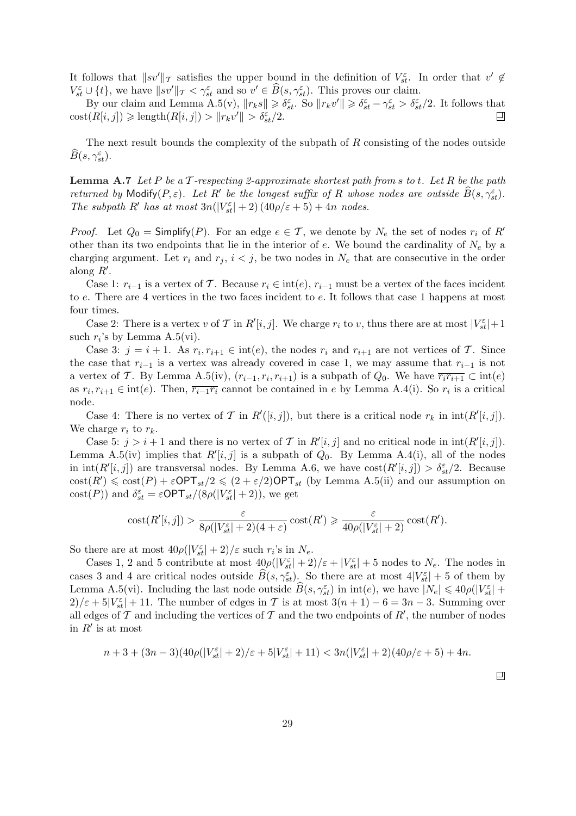It follows that  $||sv'||_{\mathcal{T}}$  satisfies the upper bound in the definition of  $V_{st}^{\varepsilon}$ . In order that  $v' \notin$  $V_{st}^{\varepsilon} \cup \{t\}$ , we have  $\|\hat{s}v'\|_{\mathcal{T}} < \gamma_{st}^{\varepsilon}$  and so  $v' \in \widehat{B}(s, \gamma_{st}^{\varepsilon})$ . This proves our claim.

By our claim and Lemma A.5(v),  $||r_k s|| \geq \delta_{st}^{\varepsilon}$ . So  $||r_k v'|| \geq \delta_{st}^{\varepsilon} - \gamma_{st}^{\varepsilon} > \delta_{st}^{\varepsilon}/2$ . It follows that  $\text{cost}(R[i, j]) \geq \text{length}(R[i, j]) > ||r_k v'|| > \delta_{st}^{\varepsilon}/2.$ ш

The next result bounds the complexity of the subpath of  $R$  consisting of the nodes outside  $\widehat B(s,\gamma^\varepsilon_{st}).$ 

**Lemma A.7** Let P be a T-respecting 2-approximate shortest path from s to t. Let R be the path returned by Modify $(P, \varepsilon)$ . Let  $R'$  be the longest suffix of R whose nodes are outside  $\widehat{B}(s, \gamma_{st}^{\varepsilon})$ . The subpath R' has at most  $3n(|V_{st}^{\varepsilon}| + 2) (40\rho/\varepsilon + 5) + 4n$  nodes.

*Proof.* Let  $Q_0 =$  Simplify(P). For an edge  $e \in \mathcal{T}$ , we denote by  $N_e$  the set of nodes  $r_i$  of R' other than its two endpoints that lie in the interior of  $e$ . We bound the cardinality of  $N_e$  by a charging argument. Let  $r_i$  and  $r_j$ ,  $i < j$ , be two nodes in  $N_e$  that are consecutive in the order along  $R'$ .

Case 1:  $r_{i-1}$  is a vertex of T. Because  $r_i \in int(e)$ ,  $r_{i-1}$  must be a vertex of the faces incident to e. There are 4 vertices in the two faces incident to e. It follows that case 1 happens at most four times.

Case 2: There is a vertex v of T in  $R'[i, j]$ . We charge  $r_i$  to v, thus there are at most  $|V_{st}^{\varepsilon}|+1$ such  $r_i$ 's by Lemma A.5(vi).

Case 3:  $j = i + 1$ . As  $r_i, r_{i+1} \in \text{int}(e)$ , the nodes  $r_i$  and  $r_{i+1}$  are not vertices of T. Since the case that  $r_{i-1}$  is a vertex was already covered in case 1, we may assume that  $r_{i-1}$  is not a vertex of T. By Lemma A.5(iv),  $(r_{i-1}, r_i, r_{i+1})$  is a subpath of  $Q_0$ . We have  $\overline{r_i r_{i+1}} \subset \text{int}(e)$ as  $r_i, r_{i+1} \in \text{int}(e)$ . Then,  $\overline{r_{i-1}r_i}$  cannot be contained in e by Lemma A.4(i). So  $r_i$  is a critical node.

Case 4: There is no vertex of T in  $R'([i, j])$ , but there is a critical node  $r_k$  in  $\text{int}(R'[i, j])$ . We charge  $r_i$  to  $r_k$ .

Case 5:  $j > i + 1$  and there is no vertex of T in  $R'[i, j]$  and no critical node in  $int(R'[i, j])$ . Lemma A.5(iv) implies that  $R'[i, j]$  is a subpath of  $Q_0$ . By Lemma A.4(i), all of the nodes in  $\text{int}(R'[i,j])$  are transversal nodes. By Lemma A.6, we have  $\text{cost}(R'[i,j]) > \delta_{st}^{\varepsilon}/2$ . Because  $\text{cost}(R') \leq \text{cost}(P) + \varepsilon \text{OPT}_{st}/2 \leq (2 + \varepsilon/2) \text{OPT}_{st}$  (by Lemma A.5(ii) and our assumption on cost(P)) and  $\delta_{st}^{\varepsilon} = \varepsilon \textsf{OPT}_{st}/(8\rho(|V_{st}^{\varepsilon}| + 2))$ , we get

$$
\mathrm{cost}(R'[i,j]) > \frac{\varepsilon}{8\rho(|V_{st}^\varepsilon|+2)(4+\varepsilon)}\,\mathrm{cost}(R') \geqslant \frac{\varepsilon}{40\rho(|V_{st}^\varepsilon|+2)}\,\mathrm{cost}(R').
$$

So there are at most  $40\rho(|V_{st}^{\varepsilon}| + 2)/\varepsilon$  such  $r_i$ 's in  $N_e$ .

Cases 1, 2 and 5 contribute at most  $40\rho(|V_{st}^{\varepsilon}| + 2)/\varepsilon + |V_{st}^{\varepsilon}| + 5$  nodes to  $N_e$ . The nodes in cases 3 and 4 are critical nodes outside  $\widehat{B}(s, \gamma_{st}^{\varepsilon})$ . So there are at most  $4|V_{st}^{\varepsilon}| + 5$  of them by Lemma A.5(vi). Including the last node outside  $\widehat{B}(s, \gamma_{st}^{\varepsilon})$  in  $\text{int}(e)$ , we have  $|N_e| \leq 40\rho(|V_{st}^{\varepsilon}| +$  $2/\varepsilon + 5|V_{st}^{\varepsilon}| + 11$ . The number of edges in T is at most  $3(n + 1) - 6 = 3n - 3$ . Summing over all edges of  $\mathcal T$  and including the vertices of  $\mathcal T$  and the two endpoints of  $R'$ , the number of nodes in  $R'$  is at most

$$
n+3+(3n-3)(40\rho(|V_{st}^{\varepsilon}|+2)/\varepsilon+5|V_{st}^{\varepsilon}|+11)<3n(|V_{st}^{\varepsilon}|+2)(40\rho/\varepsilon+5)+4n.
$$

 $\Box$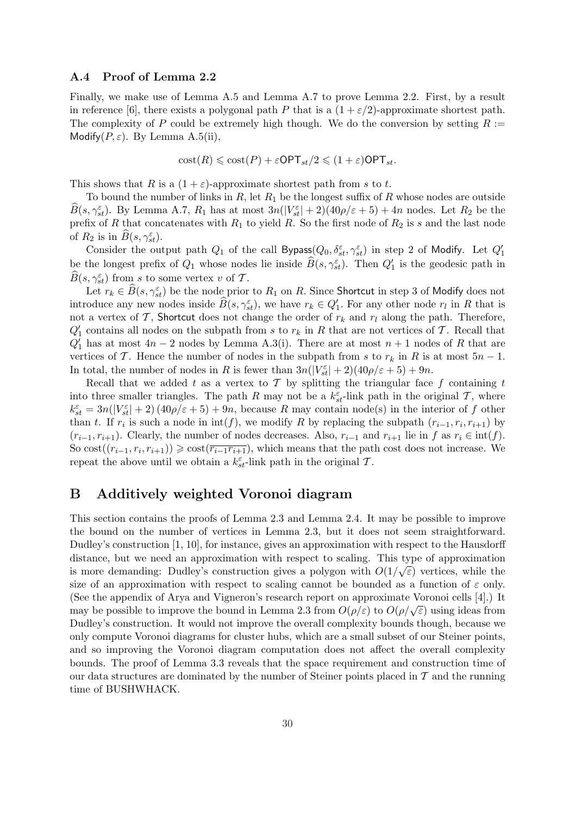### A.4 Proof of Lemma 2.2

Finally, we make use of Lemma A.5 and Lemma A.7 to prove Lemma 2.2. First, by a result in reference [6], there exists a polygonal path P that is a  $(1 + \varepsilon/2)$ -approximate shortest path. The complexity of P could be extremely high though. We do the conversion by setting  $R :=$ Modify $(P, \varepsilon)$ . By Lemma A.5(ii),

$$
cost(R) \leqslant cost(P) + \varepsilon OPT_{st}/2 \leqslant (1 + \varepsilon) OPT_{st}.
$$

This shows that R is a  $(1 + \varepsilon)$ -approximate shortest path from s to t.

To bound the number of links in R, let  $R_1$  be the longest suffix of R whose nodes are outside  $\widehat{B}(s,\gamma_{st}^{\varepsilon})$ . By Lemma A.7,  $R_1$  has at most  $3n(|V_{st}^{\varepsilon}|+2)(40\rho/\varepsilon+5)+4n$  nodes. Let  $R_2$  be the prefix of R that concatenates with  $R_1$  to yield R. So the first node of  $R_2$  is s and the last node of  $R_2$  is in  $\widehat{B}(s, \gamma_{st}^{\varepsilon})$ .

Consider the output path  $Q_1$  of the call Bypass $(Q_0, \delta_{st}^{\varepsilon}, \gamma_{st}^{\varepsilon})$  in step 2 of Modify. Let  $Q_1'$ be the longest prefix of  $Q_1$  whose nodes lie inside  $\widehat{B}(s, \gamma_{st}^{\varepsilon})$ . Then  $Q_1'$  is the geodesic path in  $\widehat{B}(s, \gamma_{st}^{\varepsilon})$  from s to some vertex v of T.

Let  $r_k \in \widehat{B}(s, \gamma_{st}^{\varepsilon})$  be the node prior to  $R_1$  on R. Since Shortcut in step 3 of Modify does not introduce any new nodes inside  $\widehat{B}(s, \gamma_{st}^{\varepsilon})$ , we have  $r_k \in Q'_1$ . For any other node  $r_l$  in R that is not a vertex of T, Shortcut does not change the order of  $r_k$  and  $r_l$  along the path. Therefore,  $Q_1'$  contains all nodes on the subpath from s to  $r_k$  in R that are not vertices of T. Recall that  $Q'_1$  has at most  $4n-2$  nodes by Lemma A.3(i). There are at most  $n+1$  nodes of R that are vertices of T. Hence the number of nodes in the subpath from s to  $r_k$  in R is at most  $5n - 1$ . In total, the number of nodes in R is fewer than  $3n(|V_{st}^{\varepsilon}| + 2)(40\rho/\varepsilon + 5) + 9n$ .

Recall that we added t as a vertex to T by splitting the triangular face f containing t into three smaller triangles. The path R may not be a  $k_{st}^{\varepsilon}$ -link path in the original T, where  $k_{st}^{\varepsilon} = 3n(|V_{st}^{\varepsilon}| + 2) (40\rho/\varepsilon + 5) + 9n$ , because R may contain node(s) in the interior of f other than t. If  $r_i$  is such a node in  $\text{int}(f)$ , we modify R by replacing the subpath  $(r_{i-1}, r_i, r_{i+1})$  by  $(r_{i-1}, r_{i+1})$ . Clearly, the number of nodes decreases. Also,  $r_{i-1}$  and  $r_{i+1}$  lie in f as  $r_i \in \text{int}(f)$ . So  $\text{cost}((r_{i-1}, r_i, r_{i+1})) \geq \text{cost}(\overline{r_{i-1}r_{i+1}})$ , which means that the path cost does not increase. We repeat the above until we obtain a  $k_{st}^{\varepsilon}$ -link path in the original T.

## B Additively weighted Voronoi diagram

This section contains the proofs of Lemma 2.3 and Lemma 2.4. It may be possible to improve the bound on the number of vertices in Lemma 2.3, but it does not seem straightforward. Dudley's construction [1, 10], for instance, gives an approximation with respect to the Hausdorff distance, but we need an approximation with respect to scaling. This type of approximation is more demanding: Dudley's construction gives a polygon with  $O(1/\sqrt{\varepsilon})$  vertices, while the size of an approximation with respect to scaling cannot be bounded as a function of  $\varepsilon$  only. (See the appendix of Arya and Vigneron's research report on approximate Voronoi cells [4].) It (see the appendix of Arya and Vigheron's research report on approximate voronor cens [4].) It<br>may be possible to improve the bound in Lemma 2.3 from  $O(\rho/\epsilon)$  to  $O(\rho/\sqrt{\epsilon})$  using ideas from Dudley's construction. It would not improve the overall complexity bounds though, because we only compute Voronoi diagrams for cluster hubs, which are a small subset of our Steiner points, and so improving the Voronoi diagram computation does not affect the overall complexity bounds. The proof of Lemma 3.3 reveals that the space requirement and construction time of our data structures are dominated by the number of Steiner points placed in  $\mathcal T$  and the running time of BUSHWHACK.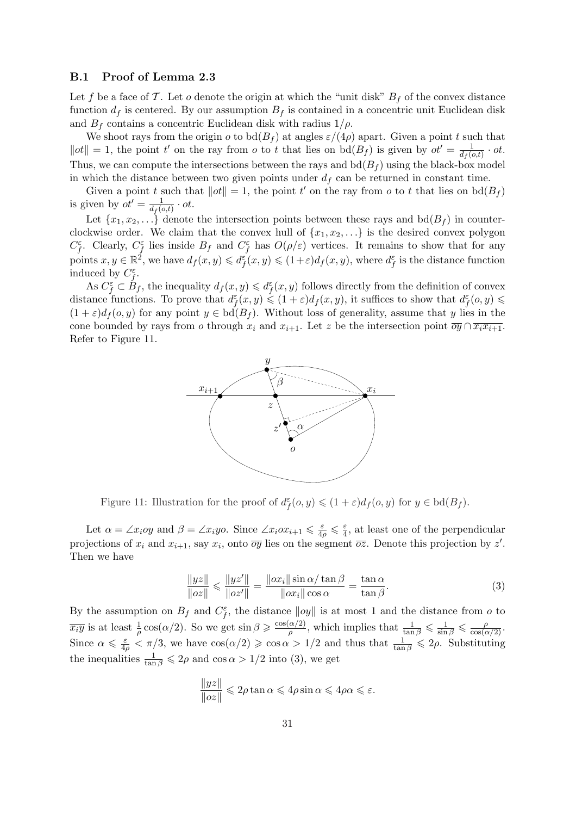### B.1 Proof of Lemma 2.3

Let f be a face of T. Let o denote the origin at which the "unit disk"  $B_f$  of the convex distance function  $d_f$  is centered. By our assumption  $B_f$  is contained in a concentric unit Euclidean disk and  $B_f$  contains a concentric Euclidean disk with radius  $1/\rho$ .

We shoot rays from the origin  $o$  to  $\text{bd}(B_f)$  at angles  $\varepsilon/(4\rho)$  apart. Given a point t such that  $\|ot\|=1$ , the point t' on the ray from o to t that lies on  $\text{bd}(B_f)$  is given by  $ot'=\frac{1}{\text{det}(B_f)}$  $\frac{1}{d_f(o,t)} \cdot ot.$ Thus, we can compute the intersections between the rays and  $\text{bd}(B_f)$  using the black-box model in which the distance between two given points under  $d_f$  can be returned in constant time.

Given a point t such that  $||ot|| = 1$ , the point t' on the ray from o to t that lies on  $\text{bd}(B_f)$ is given by  $ot' = \frac{1}{d\sigma}$  $\frac{1}{d_f(o,t)} \cdot ot.$ 

Let  $\{x_1, x_2, \ldots\}$  denote the intersection points between these rays and  $\text{bd}(B_f)$  in counterclockwise order. We claim that the convex hull of  $\{x_1, x_2, \ldots\}$  is the desired convex polygon  $C_f^{\varepsilon}$ . Clearly,  $C_f^{\varepsilon}$  lies inside  $B_f$  and  $C_f^{\varepsilon}$  has  $O(\rho/\varepsilon)$  vertices. It remains to show that for any points  $x, y \in \mathbb{R}^2$ , we have  $d_f(x, y) \leqslant d_f^{\varepsilon}(x, y) \leqslant (1 + \varepsilon) d_f(x, y)$ , where  $d_f^{\varepsilon}$  is the distance function induced by  $C_f^{\varepsilon}$ .

As  $C_f^{\varepsilon} \subset B_f$ , the inequality  $d_f(x, y) \leq d_f^{\varepsilon}(x, y)$  follows directly from the definition of convex distance functions. To prove that  $d_f^{\varepsilon}(x, y) \leq (1 + \varepsilon) d_f(x, y)$ , it suffices to show that  $d_f^{\varepsilon}(o, y) \leq$  $(1+\varepsilon)d_f(o,y)$  for any point  $y \in \text{bd}(B_f)$ . Without loss of generality, assume that y lies in the cone bounded by rays from o through  $x_i$  and  $x_{i+1}$ . Let z be the intersection point  $\overline{oy} \cap \overline{x_i x_{i+1}}$ . Refer to Figure 11.



Figure 11: Illustration for the proof of  $d_f^{\varepsilon}(0, y) \leq (1 + \varepsilon) d_f(0, y)$  for  $y \in \text{bd}(B_f)$ .

Let  $\alpha = \angle x_i$ oy and  $\beta = \angle x_i$ yo. Since  $\angle x_i$ o $x_{i+1} \leq \frac{\varepsilon}{4\rho} \leq \frac{\varepsilon}{4}$  $\frac{\varepsilon}{4}$ , at least one of the perpendicular projections of  $x_i$  and  $x_{i+1}$ , say  $x_i$ , onto  $\overline{oy}$  lies on the segment  $\overline{oz}$ . Denote this projection by  $z'$ . Then we have

$$
\frac{\|yz\|}{\|oz\|} \le \frac{\|yz'\|}{\|oz'\|} = \frac{\|ox_i\| \sin \alpha / \tan \beta}{\|ox_i\| \cos \alpha} = \frac{\tan \alpha}{\tan \beta}.
$$
 (3)

By the assumption on  $B_f$  and  $C_f^{\varepsilon}$ , the distance  $||oy||$  is at most 1 and the distance from o to  $\overline{x_i y}$  is at least  $\frac{1}{\rho} \cos(\alpha/2)$ . So we get  $\sin \beta \geqslant \frac{\cos(\alpha/2)}{\rho}$  $\frac{\alpha}{\rho}$ , which implies that  $\frac{1}{\tan \beta} \leqslant \frac{1}{\sin \beta} \leqslant \frac{\rho}{\cos(\alpha/2)}$ . Since  $\alpha \leq \frac{\varepsilon}{4\rho} < \pi/3$ , we have  $\cos(\alpha/2) \geq \cos \alpha > 1/2$  and thus that  $\frac{1}{\tan \beta} \leq 2\rho$ . Substituting the inequalities  $\frac{1}{\tan \beta} \leq 2\rho$  and  $\cos \alpha > 1/2$  into (3), we get

$$
\frac{\|yz\|}{\|oz\|} \leq 2\rho \tan \alpha \leq 4\rho \sin \alpha \leq 4\rho \alpha \leq \varepsilon.
$$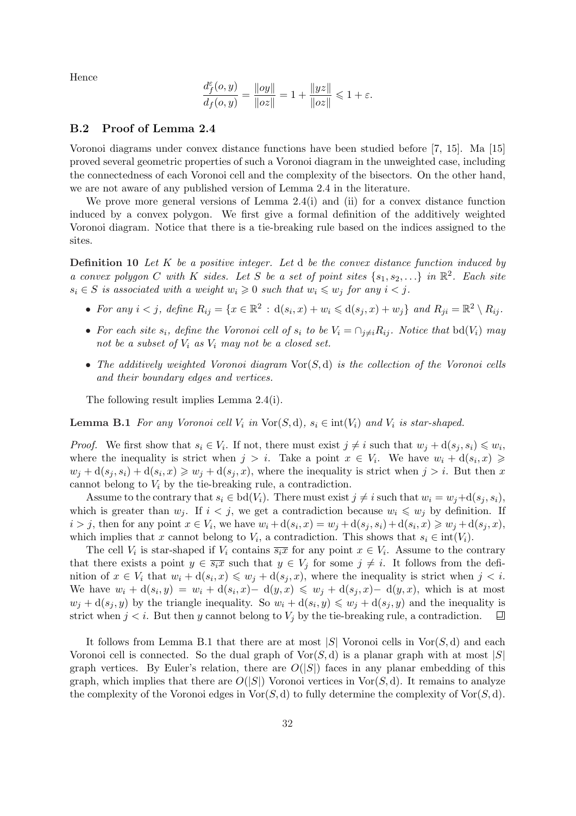Hence

$$
\frac{d^{\varepsilon}_{f}(o,y)}{d_{f}(o,y)} = \frac{\|oy\|}{\|oz\|} = 1 + \frac{\|yz\|}{\|oz\|} \leq 1 + \varepsilon.
$$

### B.2 Proof of Lemma 2.4

Voronoi diagrams under convex distance functions have been studied before [7, 15]. Ma [15] proved several geometric properties of such a Voronoi diagram in the unweighted case, including the connectedness of each Voronoi cell and the complexity of the bisectors. On the other hand, we are not aware of any published version of Lemma 2.4 in the literature.

We prove more general versions of Lemma 2.4(i) and (ii) for a convex distance function induced by a convex polygon. We first give a formal definition of the additively weighted Voronoi diagram. Notice that there is a tie-breaking rule based on the indices assigned to the sites.

**Definition 10** Let K be a positive integer. Let  $d$  be the convex distance function induced by a convex polygon C with K sides. Let S be a set of point sites  $\{s_1, s_2, ...\}$  in  $\mathbb{R}^2$ . Each site  $s_i \in S$  is associated with a weight  $w_i \geq 0$  such that  $w_i \leq w_j$  for any  $i < j$ .

- For any  $i < j$ , define  $R_{ij} = \{x \in \mathbb{R}^2 : d(s_i, x) + w_i \leq d(s_j, x) + w_j\}$  and  $R_{ji} = \mathbb{R}^2 \setminus R_{ij}$ .
- For each site  $s_i$ , define the Voronoi cell of  $s_i$  to be  $V_i = \bigcap_{j\neq i} R_{ij}$ . Notice that bd( $V_i$ ) may not be a subset of  $V_i$  as  $V_i$  may not be a closed set.
- The additively weighted Voronoi diagram  $\text{Vor}(S, d)$  is the collection of the Voronoi cells and their boundary edges and vertices.

The following result implies Lemma 2.4(i).

**Lemma B.1** For any Voronoi cell  $V_i$  in  $\text{Vor}(S, d)$ ,  $s_i \in \text{int}(V_i)$  and  $V_i$  is star-shaped.

*Proof.* We first show that  $s_i \in V_i$ . If not, there must exist  $j \neq i$  such that  $w_j + d(s_j, s_i) \leq w_i$ , where the inequality is strict when  $j > i$ . Take a point  $x \in V_i$ . We have  $w_i + d(s_i, x) \geq$  $w_j + d(s_j, s_i) + d(s_i, x) \geq w_j + d(s_j, x)$ , where the inequality is strict when  $j > i$ . But then x cannot belong to  $V_i$  by the tie-breaking rule, a contradiction.

Assume to the contrary that  $s_i \in \text{bd}(V_i)$ . There must exist  $j \neq i$  such that  $w_i = w_j + d(s_j, s_i)$ , which is greater than  $w_j$ . If  $i < j$ , we get a contradiction because  $w_i \leq w_j$  by definition. If  $i > j$ , then for any point  $x \in V_i$ , we have  $w_i + d(s_i, x) = w_j + d(s_j, s_i) + d(s_i, x) \geq w_j + d(s_j, x)$ , which implies that x cannot belong to  $V_i$ , a contradiction. This shows that  $s_i \in \text{int}(V_i)$ .

The cell  $V_i$  is star-shaped if  $V_i$  contains  $\overline{s_i x}$  for any point  $x \in V_i$ . Assume to the contrary that there exists a point  $y \in \overline{s_i x}$  such that  $y \in V_j$  for some  $j \neq i$ . It follows from the definition of  $x \in V_i$  that  $w_i + d(s_i, x) \leqslant w_j + d(s_j, x)$ , where the inequality is strict when  $j < i$ . We have  $w_i + d(s_i, y) = w_i + d(s_i, x) - d(y, x) \leq w_j + d(s_j, x) - d(y, x)$ , which is at most  $w_j + d(s_j, y)$  by the triangle inequality. So  $w_i + d(s_i, y) \leq w_j + d(s_j, y)$  and the inequality is strict when  $j < i$ . But then y cannot belong to  $V_j$  by the tie-breaking rule, a contradiction. 口

It follows from Lemma B.1 that there are at most |S| Voronoi cells in  $\text{Vor}(S, d)$  and each Voronoi cell is connected. So the dual graph of  $\text{Vor}(S, d)$  is a planar graph with at most  $|S|$ graph vertices. By Euler's relation, there are  $O(|S|)$  faces in any planar embedding of this graph, which implies that there are  $O(|S|)$  Voronoi vertices in Vor $(S, d)$ . It remains to analyze the complexity of the Voronoi edges in  $\text{Vor}(S, d)$  to fully determine the complexity of  $\text{Vor}(S, d)$ .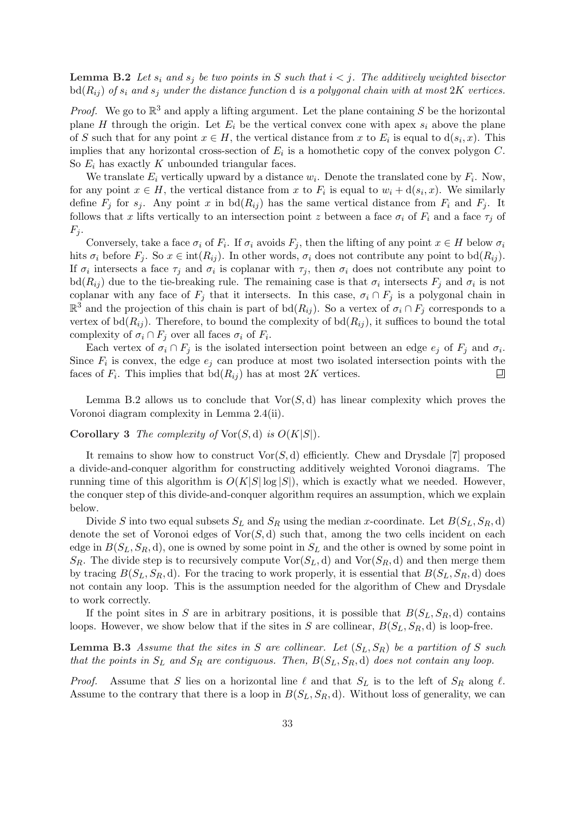**Lemma B.2** Let  $s_i$  and  $s_j$  be two points in S such that  $i < j$ . The additively weighted bisector  $\text{bd}(R_{ij})$  of  $s_i$  and  $s_j$  under the distance function d is a polygonal chain with at most 2K vertices.

*Proof.* We go to  $\mathbb{R}^3$  and apply a lifting argument. Let the plane containing S be the horizontal plane H through the origin. Let  $E_i$  be the vertical convex cone with apex  $s_i$  above the plane of S such that for any point  $x \in H$ , the vertical distance from x to  $E_i$  is equal to  $d(s_i, x)$ . This implies that any horizontal cross-section of  $E_i$  is a homothetic copy of the convex polygon  $C$ . So  $E_i$  has exactly K unbounded triangular faces.

We translate  $E_i$  vertically upward by a distance  $w_i$ . Denote the translated cone by  $F_i$ . Now, for any point  $x \in H$ , the vertical distance from x to  $F_i$  is equal to  $w_i + d(s_i, x)$ . We similarly define  $F_j$  for  $s_j$ . Any point x in  $\text{bd}(R_{ij})$  has the same vertical distance from  $F_i$  and  $F_j$ . It follows that x lifts vertically to an intersection point z between a face  $\sigma_i$  of  $F_i$  and a face  $\tau_j$  of  $F_i$ .

Conversely, take a face  $\sigma_i$  of  $F_i$ . If  $\sigma_i$  avoids  $F_j$ , then the lifting of any point  $x \in H$  below  $\sigma_i$ hits  $\sigma_i$  before  $F_j$ . So  $x \in \text{int}(R_{ij})$ . In other words,  $\sigma_i$  does not contribute any point to bd $(R_{ij})$ . If  $\sigma_i$  intersects a face  $\tau_j$  and  $\sigma_i$  is coplanar with  $\tau_j$ , then  $\sigma_i$  does not contribute any point to bd $(R_{ij})$  due to the tie-breaking rule. The remaining case is that  $\sigma_i$  intersects  $F_j$  and  $\sigma_i$  is not coplanar with any face of  $F_j$  that it intersects. In this case,  $\sigma_i \cap F_j$  is a polygonal chain in  $\mathbb{R}^3$  and the projection of this chain is part of bd( $R_{ij}$ ). So a vertex of  $\sigma_i \cap F_j$  corresponds to a vertex of  $\text{bd}(R_{ij})$ . Therefore, to bound the complexity of  $\text{bd}(R_{ij})$ , it suffices to bound the total complexity of  $\sigma_i \cap F_j$  over all faces  $\sigma_i$  of  $F_i$ .

Each vertex of  $\sigma_i \cap F_j$  is the isolated intersection point between an edge  $e_j$  of  $F_j$  and  $\sigma_i$ . Since  $F_i$  is convex, the edge  $e_j$  can produce at most two isolated intersection points with the faces of  $F_i$ . This implies that  $\text{bd}(R_{ij})$  has at most  $2K$  vertices. ▣

Lemma B.2 allows us to conclude that  $\text{Vor}(S, d)$  has linear complexity which proves the Voronoi diagram complexity in Lemma 2.4(ii).

**Corollary 3** The complexity of  $\text{Vor}(S, d)$  is  $O(K|S|)$ .

It remains to show how to construct  $\text{Vor}(S, d)$  efficiently. Chew and Drysdale [7] proposed a divide-and-conquer algorithm for constructing additively weighted Voronoi diagrams. The running time of this algorithm is  $O(K|S|\log|S|)$ , which is exactly what we needed. However, the conquer step of this divide-and-conquer algorithm requires an assumption, which we explain below.

Divide S into two equal subsets  $S_L$  and  $S_R$  using the median x-coordinate. Let  $B(S_L, S_R, d)$ denote the set of Voronoi edges of  $\text{Vor}(S, d)$  such that, among the two cells incident on each edge in  $B(S_L, S_R, d)$ , one is owned by some point in  $S_L$  and the other is owned by some point in  $S_R$ . The divide step is to recursively compute  $\text{Vor}(S_L, d)$  and  $\text{Vor}(S_R, d)$  and then merge them by tracing  $B(S_L, S_R, d)$ . For the tracing to work properly, it is essential that  $B(S_L, S_R, d)$  does not contain any loop. This is the assumption needed for the algorithm of Chew and Drysdale to work correctly.

If the point sites in S are in arbitrary positions, it is possible that  $B(S_L, S_R, d)$  contains loops. However, we show below that if the sites in S are collinear,  $B(S_L, S_R, d)$  is loop-free.

**Lemma B.3** Assume that the sites in S are collinear. Let  $(S_L, S_R)$  be a partition of S such that the points in  $S_L$  and  $S_R$  are contiguous. Then,  $B(S_L, S_R, d)$  does not contain any loop.

*Proof.* Assume that S lies on a horizontal line  $\ell$  and that  $S_L$  is to the left of  $S_R$  along  $\ell$ . Assume to the contrary that there is a loop in  $B(S_L, S_R, d)$ . Without loss of generality, we can